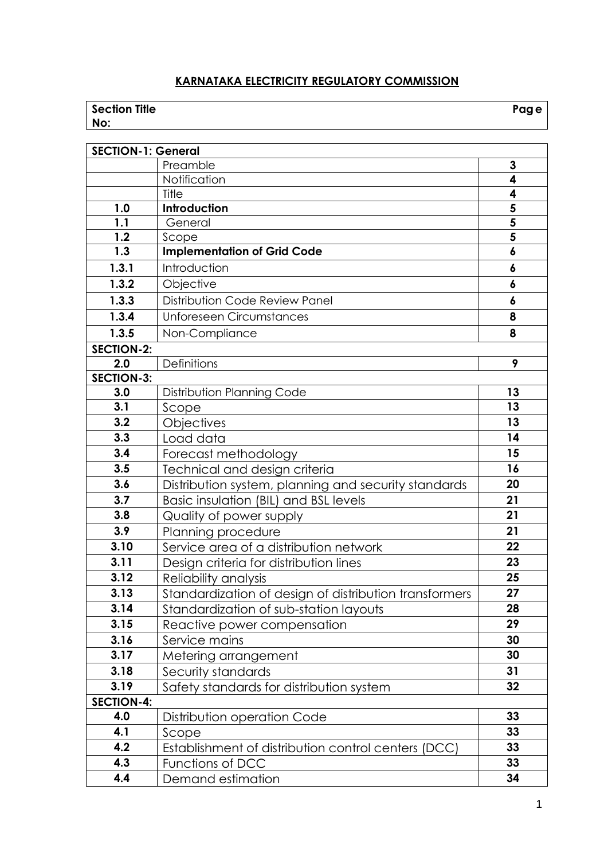# **KARNATAKA ELECTRICITY REGULATORY COMMISSION**

| <b>Section Title</b> | Page |
|----------------------|------|
| No:                  |      |

| <b>SECTION-1: General</b> |                                                        |                  |  |  |
|---------------------------|--------------------------------------------------------|------------------|--|--|
|                           | Preamble                                               | 3                |  |  |
|                           | Notification                                           | 4                |  |  |
|                           | Title                                                  | 4                |  |  |
| 1.0                       | Introduction                                           | 5                |  |  |
| 1.1                       | General                                                | 5                |  |  |
| 1.2                       | Scope                                                  | 5                |  |  |
| 1.3                       | <b>Implementation of Grid Code</b>                     | $\boldsymbol{6}$ |  |  |
| 1.3.1                     | Introduction                                           | 6                |  |  |
| 1.3.2                     | Objective                                              | 6                |  |  |
| 1.3.3                     | Distribution Code Review Panel                         | 6                |  |  |
| 1.3.4                     | <b>Unforeseen Circumstances</b>                        | 8                |  |  |
| 1.3.5                     | Non-Compliance                                         | 8                |  |  |
| <b>SECTION-2:</b>         |                                                        |                  |  |  |
| 2.0                       | <b>Definitions</b>                                     | 9                |  |  |
| <b>SECTION-3:</b>         |                                                        |                  |  |  |
| 3.0                       | Distribution Planning Code                             | 13               |  |  |
| 3.1                       | Scope                                                  | 13               |  |  |
| 3.2                       | Objectives                                             | 13               |  |  |
| 3.3                       | Load data                                              | 14               |  |  |
| 3.4                       | Forecast methodology                                   | 15               |  |  |
| 3.5                       | Technical and design criteria                          | 16               |  |  |
| 3.6                       | Distribution system, planning and security standards   | 20               |  |  |
| 3.7                       | Basic insulation (BIL) and BSL levels                  | 21               |  |  |
| 3.8                       | Quality of power supply                                | 21               |  |  |
| 3.9                       | Planning procedure                                     | 21               |  |  |
| 3.10                      | Service area of a distribution network                 | 22               |  |  |
| 3.11                      | Design criteria for distribution lines                 | 23               |  |  |
| 3.12                      | Reliability analysis                                   | 25               |  |  |
| 3.13                      | Standardization of design of distribution transformers | 27               |  |  |
| 3.14                      | Standardization of sub-station layouts                 | 28               |  |  |
| 3.15                      | Reactive power compensation                            | 29               |  |  |
| 3.16                      | Service mains                                          | 30               |  |  |
| 3.17                      | Metering arrangement                                   | 30               |  |  |
| 3.18                      | Security standards                                     | 31               |  |  |
| 3.19                      | Safety standards for distribution system               | 32               |  |  |
| <b>SECTION-4:</b>         |                                                        |                  |  |  |
| 4.0                       | Distribution operation Code                            | 33               |  |  |
| 4.1                       | Scope                                                  | 33               |  |  |
| 4.2                       | Establishment of distribution control centers (DCC)    | 33               |  |  |
| 4.3                       | Functions of DCC                                       | 33               |  |  |
| 4.4                       | Demand estimation                                      | 34               |  |  |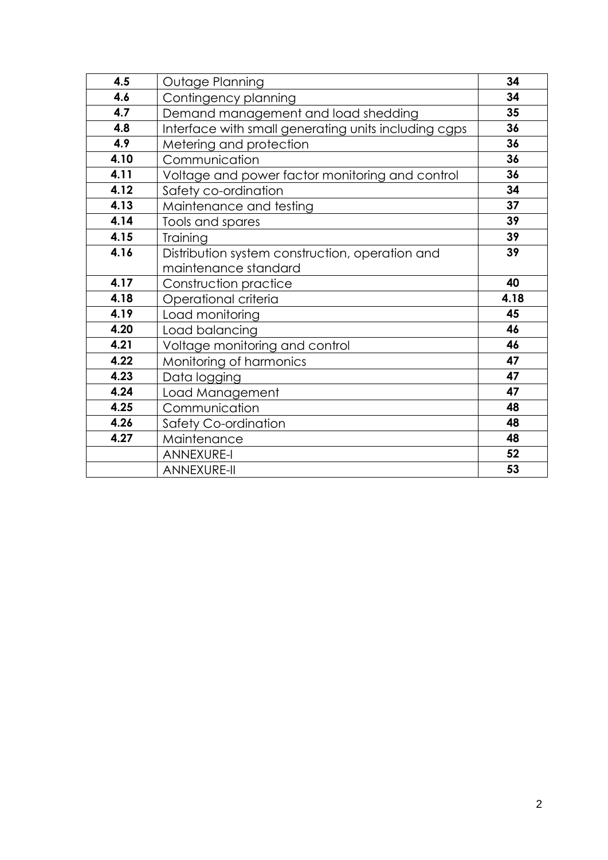| 4.5  | Outage Planning                                      | 34   |
|------|------------------------------------------------------|------|
| 4.6  | Contingency planning                                 | 34   |
| 4.7  | Demand management and load shedding                  | 35   |
| 4.8  | Interface with small generating units including cgps | 36   |
| 4.9  | Metering and protection                              | 36   |
| 4.10 | Communication                                        | 36   |
| 4.11 | Voltage and power factor monitoring and control      | 36   |
| 4.12 | Safety co-ordination                                 | 34   |
| 4.13 | Maintenance and testing                              | 37   |
| 4.14 | Tools and spares                                     | 39   |
| 4.15 | Training                                             | 39   |
| 4.16 | Distribution system construction, operation and      | 39   |
|      | maintenance standard                                 |      |
| 4.17 | Construction practice                                | 40   |
| 4.18 | Operational criteria                                 | 4.18 |
| 4.19 | Load monitoring                                      | 45   |
| 4.20 | Load balancing                                       | 46   |
| 4.21 | Voltage monitoring and control                       | 46   |
| 4.22 | Monitoring of harmonics                              | 47   |
| 4.23 | Data logging                                         | 47   |
| 4.24 | Load Management                                      | 47   |
| 4.25 | Communication                                        | 48   |
| 4.26 | Safety Co-ordination                                 | 48   |
| 4.27 | Maintenance                                          | 48   |
|      | <b>ANNEXURE-I</b>                                    | 52   |
|      | <b>ANNEXURE-II</b>                                   | 53   |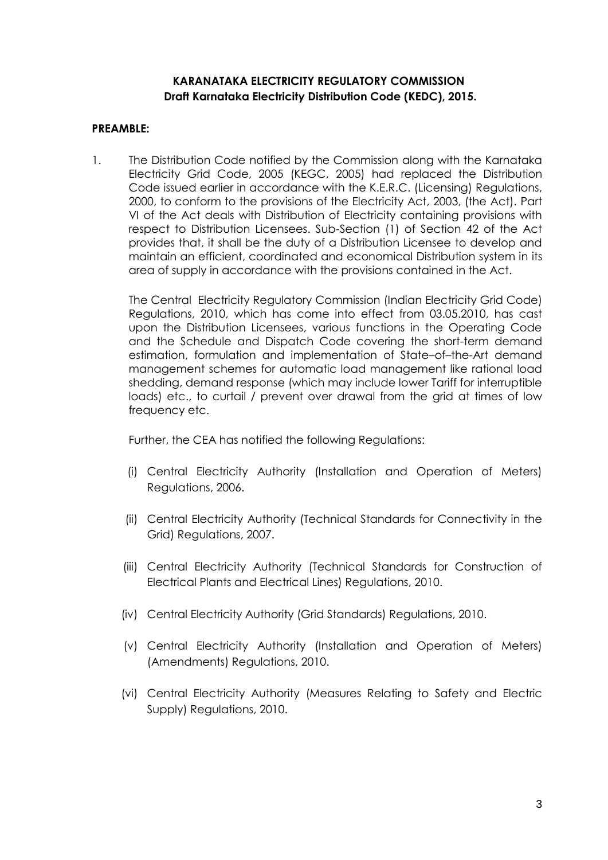## **KARANATAKA ELECTRICITY REGULATORY COMMISSION Draft Karnataka Electricity Distribution Code (KEDC), 2015.**

### **PREAMBLE:**

1. The Distribution Code notified by the Commission along with the Karnataka Electricity Grid Code, 2005 (KEGC, 2005) had replaced the Distribution Code issued earlier in accordance with the K.E.R.C. (Licensing) Regulations, 2000, to conform to the provisions of the Electricity Act, 2003, (the Act). Part VI of the Act deals with Distribution of Electricity containing provisions with respect to Distribution Licensees. Sub-Section (1) of Section 42 of the Act provides that, it shall be the duty of a Distribution Licensee to develop and maintain an efficient, coordinated and economical Distribution system in its area of supply in accordance with the provisions contained in the Act.

The Central Electricity Regulatory Commission (Indian Electricity Grid Code) Regulations, 2010, which has come into effect from 03.05.2010, has cast upon the Distribution Licensees, various functions in the Operating Code and the Schedule and Dispatch Code covering the short-term demand estimation, formulation and implementation of State–of–the-Art demand management schemes for automatic load management like rational load shedding, demand response (which may include lower Tariff for interruptible loads) etc., to curtail / prevent over drawal from the grid at times of low frequency etc.

Further, the CEA has notified the following Regulations:

- (i) Central Electricity Authority (Installation and Operation of Meters) Regulations, 2006.
- (ii) Central Electricity Authority (Technical Standards for Connectivity in the Grid) Regulations, 2007.
- (iii) Central Electricity Authority (Technical Standards for Construction of Electrical Plants and Electrical Lines) Regulations, 2010.
- (iv) Central Electricity Authority (Grid Standards) Regulations, 2010.
- (v) Central Electricity Authority (Installation and Operation of Meters) (Amendments) Regulations, 2010.
- (vi) Central Electricity Authority (Measures Relating to Safety and Electric Supply) Regulations, 2010.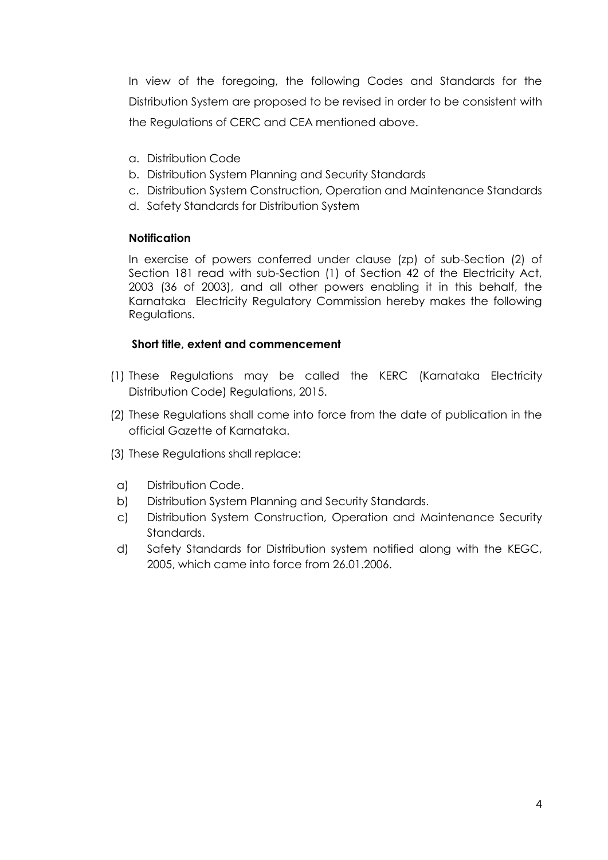In view of the foregoing, the following Codes and Standards for the Distribution System are proposed to be revised in order to be consistent with the Regulations of CERC and CEA mentioned above.

- a. Distribution Code
- b. Distribution System Planning and Security Standards
- c. Distribution System Construction, Operation and Maintenance Standards
- d. Safety Standards for Distribution System

#### **Notification**

In exercise of powers conferred under clause (zp) of sub-Section (2) of Section 181 read with sub-Section (1) of Section 42 of the Electricity Act, 2003 (36 of 2003), and all other powers enabling it in this behalf, the Karnataka Electricity Regulatory Commission hereby makes the following Regulations.

#### **Short title, extent and commencement**

- (1) These Regulations may be called the KERC (Karnataka Electricity Distribution Code) Regulations, 2015.
- (2) These Regulations shall come into force from the date of publication in the official Gazette of Karnataka.
- (3) These Regulations shall replace:
- a) Distribution Code.
- b) Distribution System Planning and Security Standards.
- c) Distribution System Construction, Operation and Maintenance Security Standards.
- d) Safety Standards for Distribution system notified along with the KEGC, 2005, which came into force from 26.01.2006.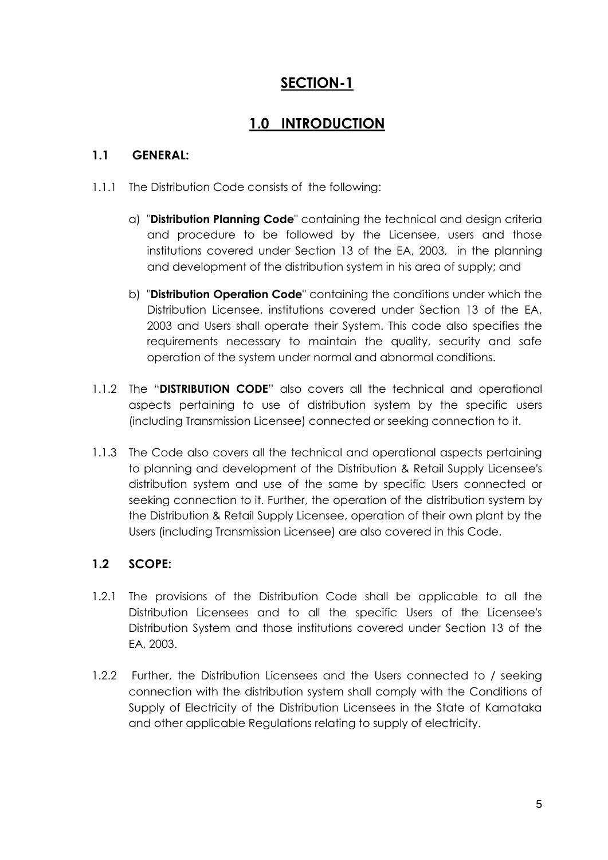# **SECTION-1**

# **1.0 INTRODUCTION**

# **1.1 GENERAL:**

- 1.1.1 The Distribution Code consists of the following:
	- a) "**Distribution Planning Code**" containing the technical and design criteria and procedure to be followed by the Licensee, users and those institutions covered under Section 13 of the EA, 2003, in the planning and development of the distribution system in his area of supply; and
	- b) "**Distribution Operation Code**" containing the conditions under which the Distribution Licensee, institutions covered under Section 13 of the EA, 2003 and Users shall operate their System. This code also specifies the requirements necessary to maintain the quality, security and safe operation of the system under normal and abnormal conditions.
- 1.1.2 The "**DISTRIBUTION CODE**" also covers all the technical and operational aspects pertaining to use of distribution system by the specific users (including Transmission Licensee) connected or seeking connection to it.
- 1.1.3 The Code also covers all the technical and operational aspects pertaining to planning and development of the Distribution & Retail Supply Licensee's distribution system and use of the same by specific Users connected or seeking connection to it. Further, the operation of the distribution system by the Distribution & Retail Supply Licensee, operation of their own plant by the Users (including Transmission Licensee) are also covered in this Code.

# **1.2 SCOPE:**

- 1.2.1 The provisions of the Distribution Code shall be applicable to all the Distribution Licensees and to all the specific Users of the Licensee's Distribution System and those institutions covered under Section 13 of the EA, 2003.
- 1.2.2 Further, the Distribution Licensees and the Users connected to / seeking connection with the distribution system shall comply with the Conditions of Supply of Electricity of the Distribution Licensees in the State of Karnataka and other applicable Regulations relating to supply of electricity.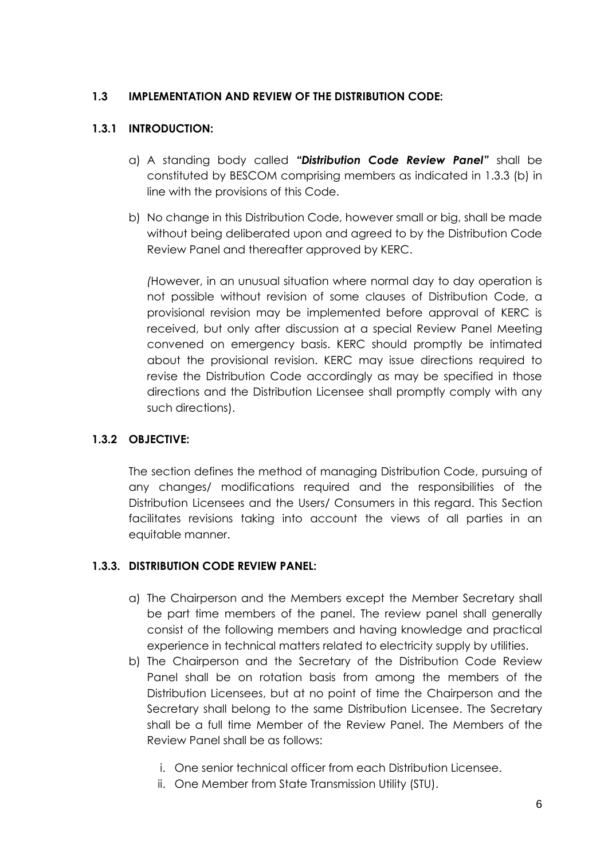## **1.3 IMPLEMENTATION AND REVIEW OF THE DISTRIBUTION CODE:**

## **1.3.1 INTRODUCTION:**

- a) A standing body called *"Distribution Code Review Panel"* shall be constituted by BESCOM comprising members as indicated in 1.3.3 (b) in line with the provisions of this Code.
- b) No change in this Distribution Code, however small or big, shall be made without being deliberated upon and agreed to by the Distribution Code Review Panel and thereafter approved by KERC.

*(*However, in an unusual situation where normal day to day operation is not possible without revision of some clauses of Distribution Code, a provisional revision may be implemented before approval of KERC is received, but only after discussion at a special Review Panel Meeting convened on emergency basis. KERC should promptly be intimated about the provisional revision. KERC may issue directions required to revise the Distribution Code accordingly as may be specified in those directions and the Distribution Licensee shall promptly comply with any such directions).

# **1.3.2 OBJECTIVE:**

The section defines the method of managing Distribution Code, pursuing of any changes/ modifications required and the responsibilities of the Distribution Licensees and the Users/ Consumers in this regard. This Section facilitates revisions taking into account the views of all parties in an equitable manner.

# **1.3.3. DISTRIBUTION CODE REVIEW PANEL:**

- a) The Chairperson and the Members except the Member Secretary shall be part time members of the panel. The review panel shall generally consist of the following members and having knowledge and practical experience in technical matters related to electricity supply by utilities.
- b) The Chairperson and the Secretary of the Distribution Code Review Panel shall be on rotation basis from among the members of the Distribution Licensees, but at no point of time the Chairperson and the Secretary shall belong to the same Distribution Licensee. The Secretary shall be a full time Member of the Review Panel. The Members of the Review Panel shall be as follows:
	- i. One senior technical officer from each Distribution Licensee.
	- ii. One Member from State Transmission Utility (STU).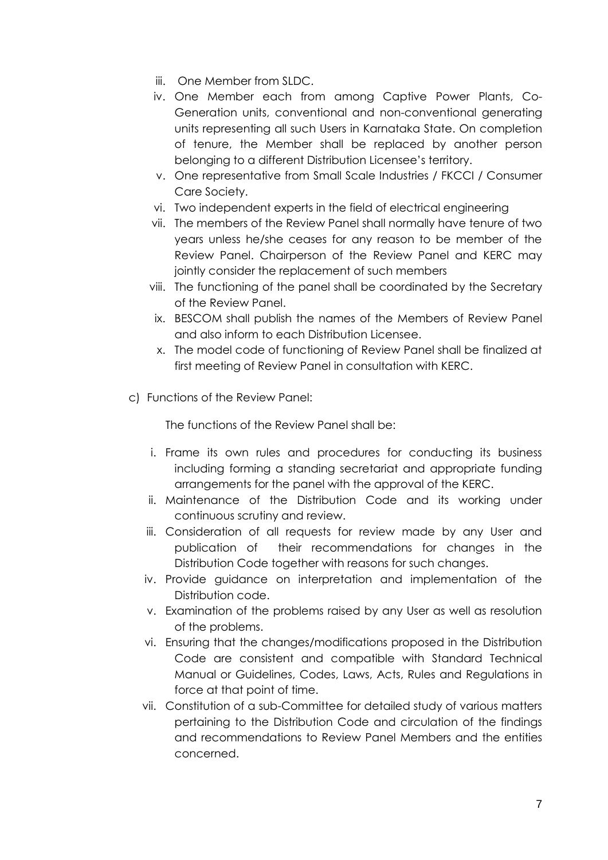- iii. One Member from SLDC.
- iv. One Member each from among Captive Power Plants, Co-Generation units, conventional and non-conventional generating units representing all such Users in Karnataka State. On completion of tenure, the Member shall be replaced by another person belonging to a different Distribution Licensee's territory.
- v. One representative from Small Scale Industries / FKCCI / Consumer Care Society.
- vi. Two independent experts in the field of electrical engineering
- vii. The members of the Review Panel shall normally have tenure of two years unless he/she ceases for any reason to be member of the Review Panel. Chairperson of the Review Panel and KERC may jointly consider the replacement of such members
- viii. The functioning of the panel shall be coordinated by the Secretary of the Review Panel.
- ix. BESCOM shall publish the names of the Members of Review Panel and also inform to each Distribution Licensee.
- x. The model code of functioning of Review Panel shall be finalized at first meeting of Review Panel in consultation with KERC.
- c) Functions of the Review Panel:

The functions of the Review Panel shall be:

- i. Frame its own rules and procedures for conducting its business including forming a standing secretariat and appropriate funding arrangements for the panel with the approval of the KERC.
- ii. Maintenance of the Distribution Code and its working under continuous scrutiny and review.
- iii. Consideration of all requests for review made by any User and publication of their recommendations for changes in the Distribution Code together with reasons for such changes.
- iv. Provide guidance on interpretation and implementation of the Distribution code.
- v. Examination of the problems raised by any User as well as resolution of the problems.
- vi. Ensuring that the changes/modifications proposed in the Distribution Code are consistent and compatible with Standard Technical Manual or Guidelines, Codes, Laws, Acts, Rules and Regulations in force at that point of time.
- vii. Constitution of a sub-Committee for detailed study of various matters pertaining to the Distribution Code and circulation of the findings and recommendations to Review Panel Members and the entities concerned.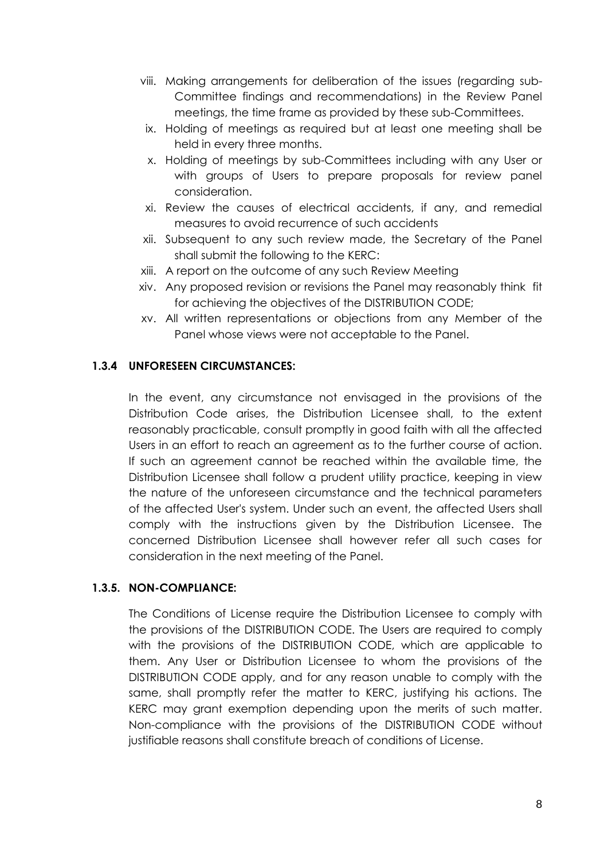- viii. Making arrangements for deliberation of the issues (regarding sub-Committee findings and recommendations) in the Review Panel meetings, the time frame as provided by these sub-Committees.
- ix. Holding of meetings as required but at least one meeting shall be held in every three months.
- x. Holding of meetings by sub-Committees including with any User or with groups of Users to prepare proposals for review panel consideration.
- xi. Review the causes of electrical accidents, if any, and remedial measures to avoid recurrence of such accidents
- xii. Subsequent to any such review made, the Secretary of the Panel shall submit the following to the KERC:
- xiii. A report on the outcome of any such Review Meeting
- xiv. Any proposed revision or revisions the Panel may reasonably think fit for achieving the objectives of the DISTRIBUTION CODE;
- xv. All written representations or objections from any Member of the Panel whose views were not acceptable to the Panel.

### **1.3.4 UNFORESEEN CIRCUMSTANCES:**

In the event, any circumstance not envisaged in the provisions of the Distribution Code arises, the Distribution Licensee shall, to the extent reasonably practicable, consult promptly in good faith with all the affected Users in an effort to reach an agreement as to the further course of action. If such an agreement cannot be reached within the available time, the Distribution Licensee shall follow a prudent utility practice, keeping in view the nature of the unforeseen circumstance and the technical parameters of the affected User's system. Under such an event, the affected Users shall comply with the instructions given by the Distribution Licensee. The concerned Distribution Licensee shall however refer all such cases for consideration in the next meeting of the Panel.

### **1.3.5. NON-COMPLIANCE:**

The Conditions of License require the Distribution Licensee to comply with the provisions of the DISTRIBUTION CODE. The Users are required to comply with the provisions of the DISTRIBUTION CODE, which are applicable to them. Any User or Distribution Licensee to whom the provisions of the DISTRIBUTION CODE apply, and for any reason unable to comply with the same, shall promptly refer the matter to KERC, justifying his actions. The KERC may grant exemption depending upon the merits of such matter. Non-compliance with the provisions of the DISTRIBUTION CODE without justifiable reasons shall constitute breach of conditions of License.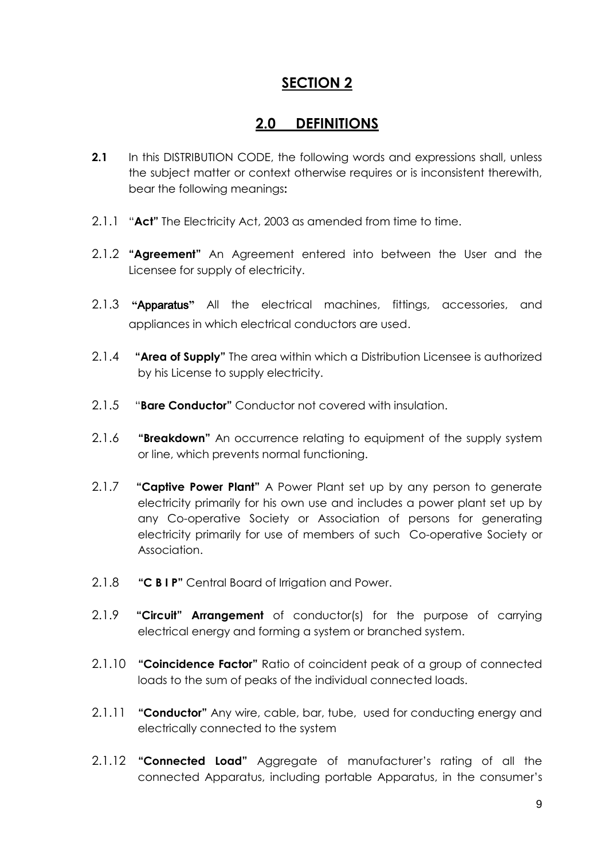# **SECTION 2**

# **2.0 DEFINITIONS**

- **2.1** In this DISTRIBUTION CODE, the following words and expressions shall, unless the subject matter or context otherwise requires or is inconsistent therewith, bear the following meanings**:**
- 2.1.1 "**Act"** The Electricity Act, 2003 as amended from time to time.
- 2.1.2 **"Agreement"** An Agreement entered into between the User and the Licensee for supply of electricity.
- 2.1.3 **"**Apparatus**"** All the electrical machines, fittings, accessories, and appliances in which electrical conductors are used.
- 2.1.4 **"Area of Supply"** The area within which a Distribution Licensee is authorized by his License to supply electricity.
- 2.1.5 "**Bare Conductor"** Conductor not covered with insulation.
- 2.1.6 **"Breakdown"** An occurrence relating to equipment of the supply system or line, which prevents normal functioning.
- 2.1.7 **"Captive Power Plant"** A Power Plant set up by any person to generate electricity primarily for his own use and includes a power plant set up by any Co-operative Society or Association of persons for generating electricity primarily for use of members of such Co-operative Society or Association.
- 2.1.8 **"C B I P"** Central Board of Irrigation and Power.
- 2.1.9 **"Circuit" Arrangement** of conductor(s) for the purpose of carrying electrical energy and forming a system or branched system.
- 2.1.10 **"Coincidence Factor"** Ratio of coincident peak of a group of connected loads to the sum of peaks of the individual connected loads.
- 2.1.11 **"Conductor"** Any wire, cable, bar, tube, used for conducting energy and electrically connected to the system
- 2.1.12 **"Connected Load"** Aggregate of manufacturer's rating of all the connected Apparatus, including portable Apparatus, in the consumer's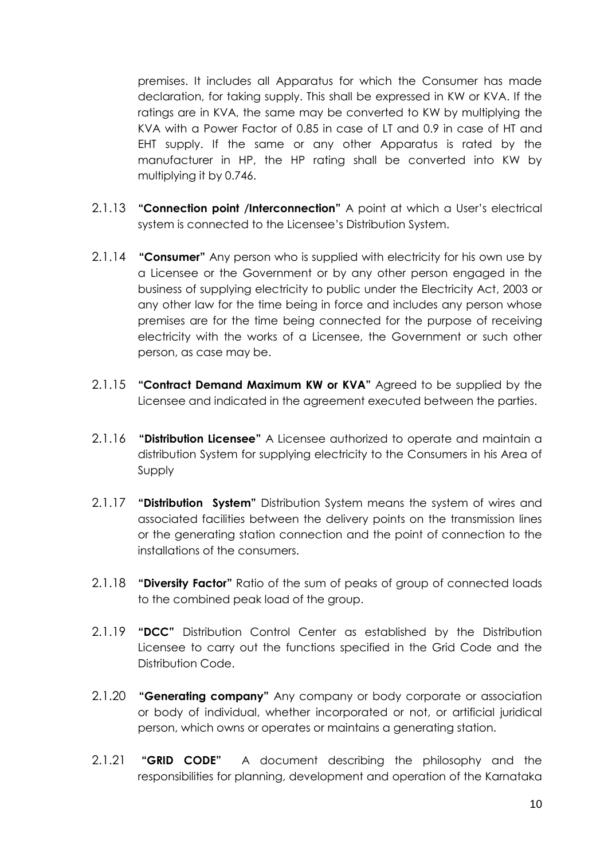premises. It includes all Apparatus for which the Consumer has made declaration, for taking supply. This shall be expressed in KW or KVA. If the ratings are in KVA, the same may be converted to KW by multiplying the KVA with a Power Factor of 0.85 in case of LT and 0.9 in case of HT and EHT supply. If the same or any other Apparatus is rated by the manufacturer in HP, the HP rating shall be converted into KW by multiplying it by 0.746.

- 2.1.13 **"Connection point /Interconnection"** A point at which a User's electrical system is connected to the Licensee's Distribution System.
- 2.1.14 **"Consumer"** Any person who is supplied with electricity for his own use by a Licensee or the Government or by any other person engaged in the business of supplying electricity to public under the Electricity Act, 2003 or any other law for the time being in force and includes any person whose premises are for the time being connected for the purpose of receiving electricity with the works of a Licensee, the Government or such other person, as case may be.
- 2.1.15 **"Contract Demand Maximum KW or KVA"** Agreed to be supplied by the Licensee and indicated in the agreement executed between the parties.
- 2.1.16 **"Distribution Licensee"** A Licensee authorized to operate and maintain a distribution System for supplying electricity to the Consumers in his Area of Supply
- 2.1.17 **"Distribution System"** Distribution System means the system of wires and associated facilities between the delivery points on the transmission lines or the generating station connection and the point of connection to the installations of the consumers.
- 2.1.18 **"Diversity Factor"** Ratio of the sum of peaks of group of connected loads to the combined peak load of the group.
- 2.1.19 **"DCC"** Distribution Control Center as established by the Distribution Licensee to carry out the functions specified in the Grid Code and the Distribution Code.
- 2.1.20 **"Generating company"** Any company or body corporate or association or body of individual, whether incorporated or not, or artificial juridical person, which owns or operates or maintains a generating station.
- 2.1.21 **"GRID CODE"** A document describing the philosophy and the responsibilities for planning, development and operation of the Karnataka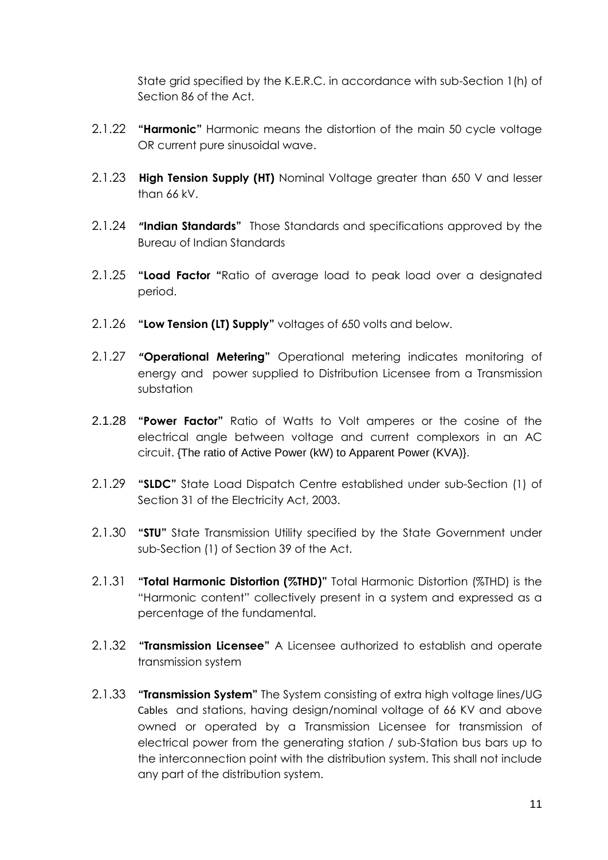State grid specified by the K.E.R.C. in accordance with sub-Section 1(h) of Section 86 of the Act.

- 2.1.22 **"Harmonic"** Harmonic means the distortion of the main 50 cycle voltage OR current pure sinusoidal wave.
- 2.1.23 **High Tension Supply (HT)** Nominal Voltage greater than 650 V and lesser than 66 kV.
- 2.1.24 **"Indian Standards"** Those Standards and specifications approved by the Bureau of Indian Standards
- 2.1.25 **"Load Factor "**Ratio of average load to peak load over a designated period.
- 2.1.26 **"Low Tension (LT) Supply"** voltages of 650 volts and below.
- 2.1.27 **"Operational Metering"** Operational metering indicates monitoring of energy and power supplied to Distribution Licensee from a Transmission substation
- 2.1.28 **"Power Factor"** Ratio of Watts to Volt amperes or the cosine of the electrical angle between voltage and current complexors in an AC circuit. {The ratio of Active Power (kW) to Apparent Power (KVA)}.
- 2.1.29 **"SLDC"** State Load Dispatch Centre established under sub-Section (1) of Section 31 of the Electricity Act, 2003.
- 2.1.30 **"STU"** State Transmission Utility specified by the State Government under sub-Section (1) of Section 39 of the Act.
- 2.1.31 **"Total Harmonic Distortion (%THD)"** Total Harmonic Distortion (%THD) is the "Harmonic content" collectively present in a system and expressed as a percentage of the fundamental.
- 2.1.32 **"Transmission Licensee"** A Licensee authorized to establish and operate transmission system
- 2.1.33 **"Transmission System"** The System consisting of extra high voltage lines/UG Cables and stations, having design/nominal voltage of 66 KV and above owned or operated by a Transmission Licensee for transmission of electrical power from the generating station / sub-Station bus bars up to the interconnection point with the distribution system. This shall not include any part of the distribution system.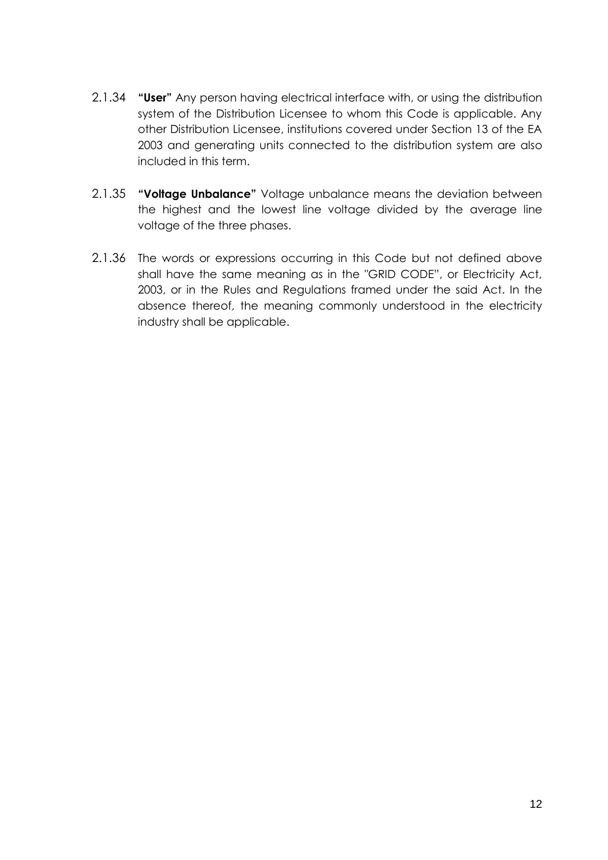- 2.1.34 **"User"** Any person having electrical interface with, or using the distribution system of the Distribution Licensee to whom this Code is applicable. Any other Distribution Licensee, institutions covered under Section 13 of the EA 2003 and generating units connected to the distribution system are also included in this term.
- 2.1.35 **"Voltage Unbalance"** Voltage unbalance means the deviation between the highest and the lowest line voltage divided by the average line voltage of the three phases.
- 2.1.36 The words or expressions occurring in this Code but not defined above shall have the same meaning as in the "GRID CODE", or Electricity Act, 2003, or in the Rules and Regulations framed under the said Act. In the absence thereof, the meaning commonly understood in the electricity industry shall be applicable.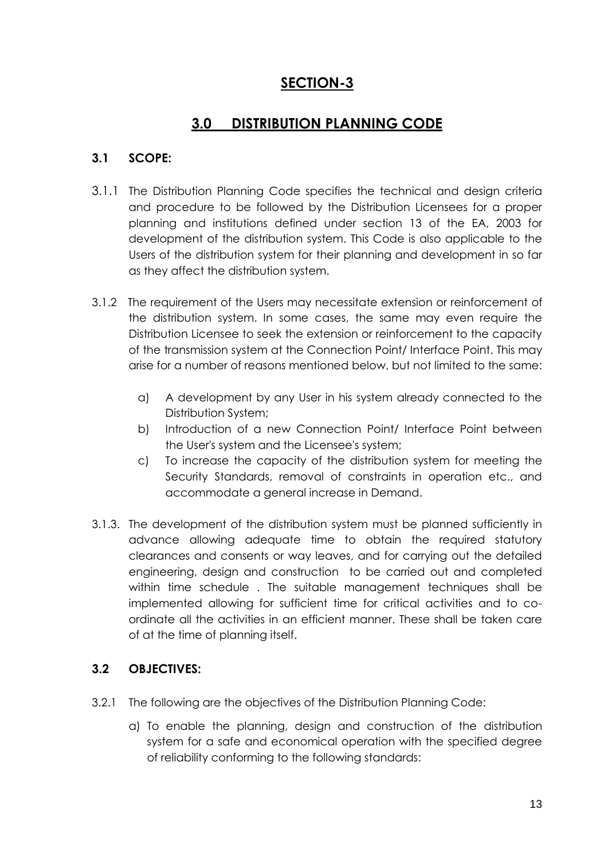# **SECTION-3**

# **3.0 DISTRIBUTION PLANNING CODE**

# **3.1 SCOPE:**

- 3.1.1 The Distribution Planning Code specifies the technical and design criteria and procedure to be followed by the Distribution Licensees for a proper planning and institutions defined under section 13 of the EA, 2003 for development of the distribution system. This Code is also applicable to the Users of the distribution system for their planning and development in so far as they affect the distribution system.
- 3.1.2 The requirement of the Users may necessitate extension or reinforcement of the distribution system. In some cases, the same may even require the Distribution Licensee to seek the extension or reinforcement to the capacity of the transmission system at the Connection Point/ Interface Point. This may arise for a number of reasons mentioned below, but not limited to the same:
	- a) A development by any User in his system already connected to the Distribution System;
	- b) Introduction of a new Connection Point/ Interface Point between the User's system and the Licensee's system;
	- c) To increase the capacity of the distribution system for meeting the Security Standards, removal of constraints in operation etc., and accommodate a general increase in Demand.
- 3.1.3. The development of the distribution system must be planned sufficiently in advance allowing adequate time to obtain the required statutory clearances and consents or way leaves, and for carrying out the detailed engineering, design and construction to be carried out and completed within time schedule . The suitable management techniques shall be implemented allowing for sufficient time for critical activities and to coordinate all the activities in an efficient manner. These shall be taken care of at the time of planning itself.

# **3.2 OBJECTIVES:**

- 3.2.1 The following are the objectives of the Distribution Planning Code:
	- a) To enable the planning, design and construction of the distribution system for a safe and economical operation with the specified degree of reliability conforming to the following standards: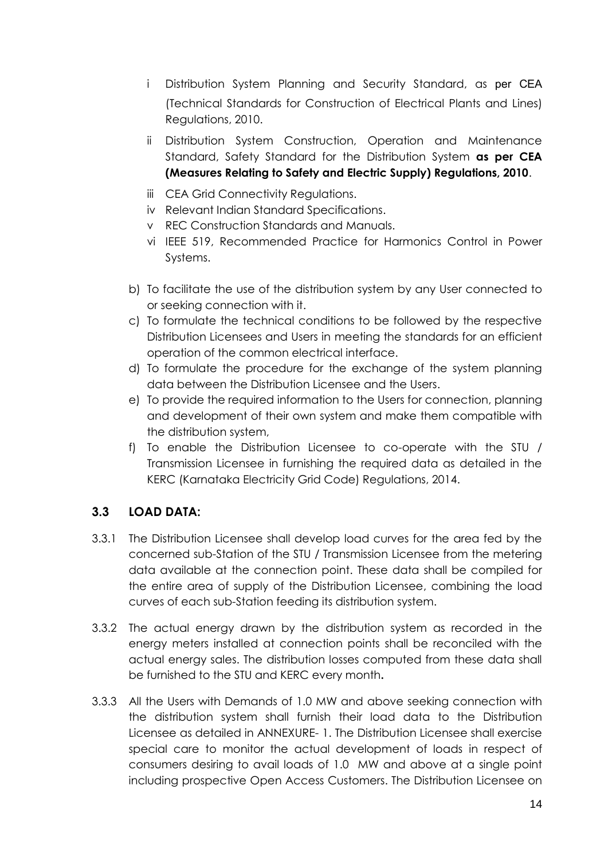- i Distribution System Planning and Security Standard, as per CEA (Technical Standards for Construction of Electrical Plants and Lines) Regulations, 2010.
- ii Distribution System Construction, Operation and Maintenance Standard, Safety Standard for the Distribution System **as per CEA (Measures Relating to Safety and Electric Supply) Regulations, 2010**.
- iii CEA Grid Connectivity Regulations.
- iv Relevant Indian Standard Specifications.
- v REC Construction Standards and Manuals.
- vi IEEE 519, Recommended Practice for Harmonics Control in Power Systems.
- b) To facilitate the use of the distribution system by any User connected to or seeking connection with it.
- c) To formulate the technical conditions to be followed by the respective Distribution Licensees and Users in meeting the standards for an efficient operation of the common electrical interface.
- d) To formulate the procedure for the exchange of the system planning data between the Distribution Licensee and the Users.
- e) To provide the required information to the Users for connection, planning and development of their own system and make them compatible with the distribution system,
- f) To enable the Distribution Licensee to co-operate with the STU / Transmission Licensee in furnishing the required data as detailed in the KERC (Karnataka Electricity Grid Code) Regulations, 2014.

# **3.3 LOAD DATA:**

- 3.3.1 The Distribution Licensee shall develop load curves for the area fed by the concerned sub-Station of the STU / Transmission Licensee from the metering data available at the connection point. These data shall be compiled for the entire area of supply of the Distribution Licensee, combining the load curves of each sub-Station feeding its distribution system.
- 3.3.2 The actual energy drawn by the distribution system as recorded in the energy meters installed at connection points shall be reconciled with the actual energy sales. The distribution losses computed from these data shall be furnished to the STU and KERC every month**.**
- 3.3.3 All the Users with Demands of 1.0 MW and above seeking connection with the distribution system shall furnish their load data to the Distribution Licensee as detailed in ANNEXURE- 1. The Distribution Licensee shall exercise special care to monitor the actual development of loads in respect of consumers desiring to avail loads of 1.0 MW and above at a single point including prospective Open Access Customers. The Distribution Licensee on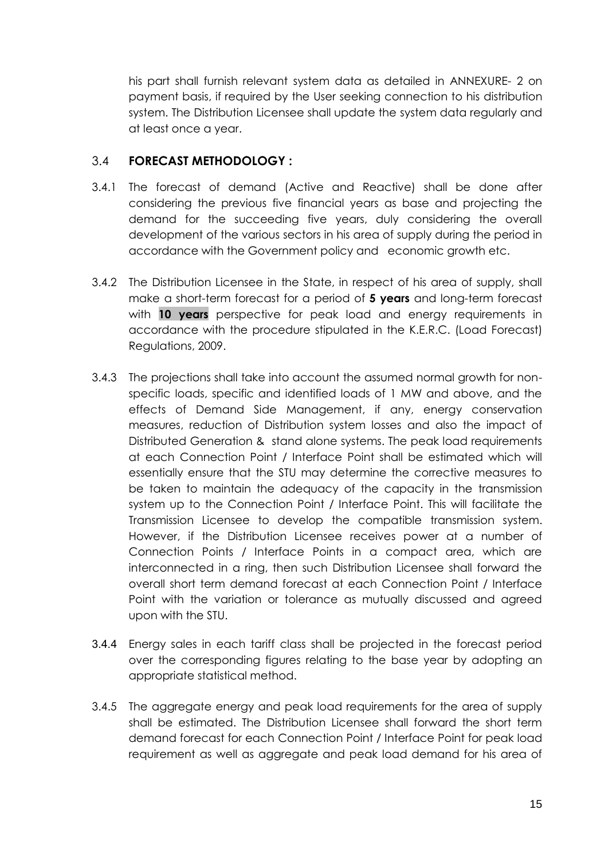his part shall furnish relevant system data as detailed in ANNEXURE- 2 on payment basis, if required by the User seeking connection to his distribution system. The Distribution Licensee shall update the system data regularly and at least once a year.

# 3.4 **FORECAST METHODOLOGY :**

- 3.4.1 The forecast of demand (Active and Reactive) shall be done after considering the previous five financial years as base and projecting the demand for the succeeding five years, duly considering the overall development of the various sectors in his area of supply during the period in accordance with the Government policy and economic growth etc.
- 3.4.2 The Distribution Licensee in the State, in respect of his area of supply, shall make a short-term forecast for a period of **5 years** and long-term forecast with **10 years** perspective for peak load and energy requirements in accordance with the procedure stipulated in the K.E.R.C. (Load Forecast) Regulations, 2009.
- 3.4.3 The projections shall take into account the assumed normal growth for nonspecific loads, specific and identified loads of 1 MW and above, and the effects of Demand Side Management, if any, energy conservation measures, reduction of Distribution system losses and also the impact of Distributed Generation & stand alone systems. The peak load requirements at each Connection Point / Interface Point shall be estimated which will essentially ensure that the STU may determine the corrective measures to be taken to maintain the adequacy of the capacity in the transmission system up to the Connection Point / Interface Point. This will facilitate the Transmission Licensee to develop the compatible transmission system. However, if the Distribution Licensee receives power at a number of Connection Points / Interface Points in a compact area, which are interconnected in a ring, then such Distribution Licensee shall forward the overall short term demand forecast at each Connection Point / Interface Point with the variation or tolerance as mutually discussed and agreed upon with the STU.
- 3.4.4 Energy sales in each tariff class shall be projected in the forecast period over the corresponding figures relating to the base year by adopting an appropriate statistical method.
- 3.4.5 The aggregate energy and peak load requirements for the area of supply shall be estimated. The Distribution Licensee shall forward the short term demand forecast for each Connection Point / Interface Point for peak load requirement as well as aggregate and peak load demand for his area of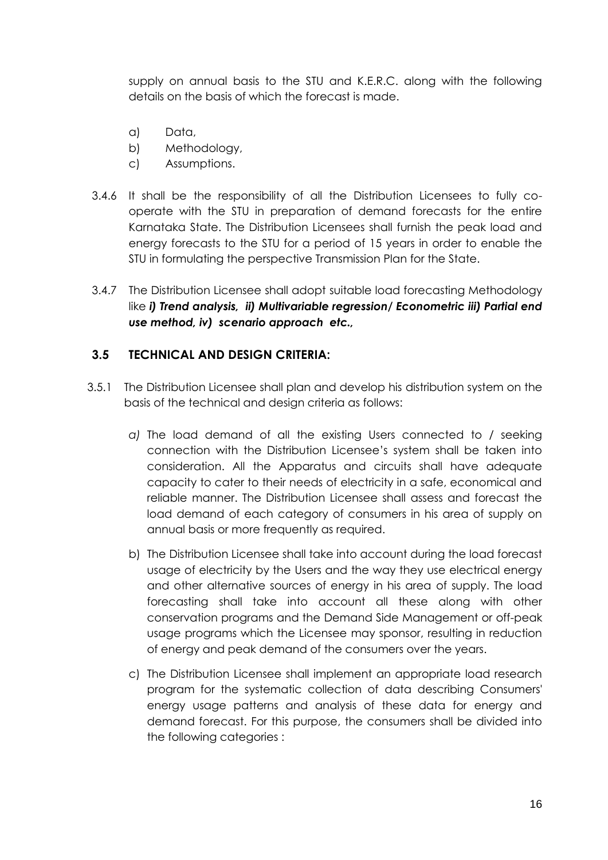supply on annual basis to the STU and K.E.R.C. along with the following details on the basis of which the forecast is made.

- a) Data,
- b) Methodology,
- c) Assumptions.
- 3.4.6 It shall be the responsibility of all the Distribution Licensees to fully cooperate with the STU in preparation of demand forecasts for the entire Karnataka State. The Distribution Licensees shall furnish the peak load and energy forecasts to the STU for a period of 15 years in order to enable the STU in formulating the perspective Transmission Plan for the State.
- 3.4.7 The Distribution Licensee shall adopt suitable load forecasting Methodology like *i) Trend analysis, ii) Multivariable regression/ Econometric iii) Partial end use method, iv) scenario approach etc.,*

## **3.5 TECHNICAL AND DESIGN CRITERIA:**

- 3.5.1 The Distribution Licensee shall plan and develop his distribution system on the basis of the technical and design criteria as follows:
	- *a)* The load demand of all the existing Users connected to / seeking connection with the Distribution Licensee's system shall be taken into consideration. All the Apparatus and circuits shall have adequate capacity to cater to their needs of electricity in a safe, economical and reliable manner. The Distribution Licensee shall assess and forecast the load demand of each category of consumers in his area of supply on annual basis or more frequently as required.
	- b) The Distribution Licensee shall take into account during the load forecast usage of electricity by the Users and the way they use electrical energy and other alternative sources of energy in his area of supply. The load forecasting shall take into account all these along with other conservation programs and the Demand Side Management or off-peak usage programs which the Licensee may sponsor, resulting in reduction of energy and peak demand of the consumers over the years.
	- c) The Distribution Licensee shall implement an appropriate load research program for the systematic collection of data describing Consumers' energy usage patterns and analysis of these data for energy and demand forecast. For this purpose, the consumers shall be divided into the following categories :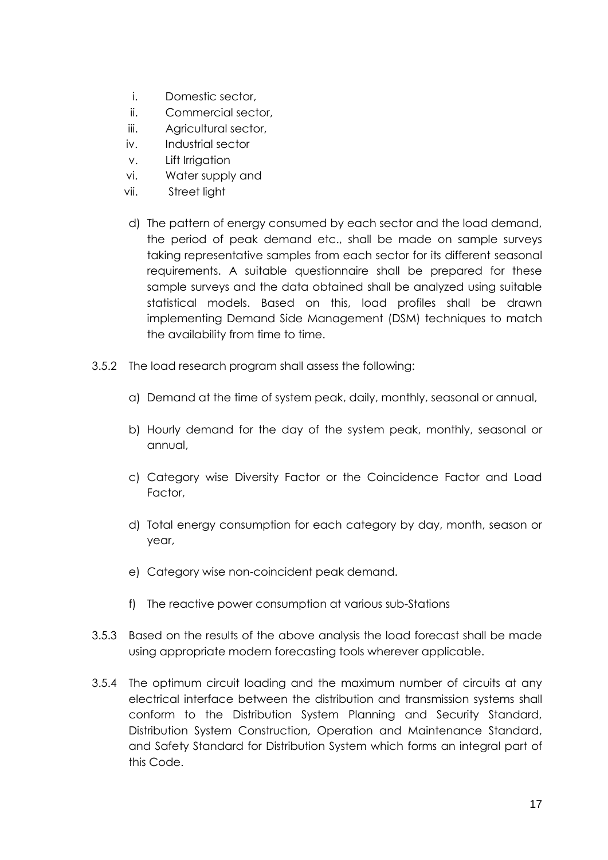- i. Domestic sector,
- ii. Commercial sector,
- iii. Agricultural sector,
- iv. Industrial sector
- v. Lift Irrigation
- vi. Water supply and
- vii. Street light
- d) The pattern of energy consumed by each sector and the load demand, the period of peak demand etc., shall be made on sample surveys taking representative samples from each sector for its different seasonal requirements. A suitable questionnaire shall be prepared for these sample surveys and the data obtained shall be analyzed using suitable statistical models. Based on this, load profiles shall be drawn implementing Demand Side Management (DSM) techniques to match the availability from time to time.
- 3.5.2 The load research program shall assess the following:
	- a) Demand at the time of system peak, daily, monthly, seasonal or annual,
	- b) Hourly demand for the day of the system peak, monthly, seasonal or annual,
	- c) Category wise Diversity Factor or the Coincidence Factor and Load Factor,
	- d) Total energy consumption for each category by day, month, season or year,
	- e) Category wise non-coincident peak demand.
	- f) The reactive power consumption at various sub-Stations
- 3.5.3 Based on the results of the above analysis the load forecast shall be made using appropriate modern forecasting tools wherever applicable.
- 3.5.4 The optimum circuit loading and the maximum number of circuits at any electrical interface between the distribution and transmission systems shall conform to the Distribution System Planning and Security Standard, Distribution System Construction, Operation and Maintenance Standard, and Safety Standard for Distribution System which forms an integral part of this Code.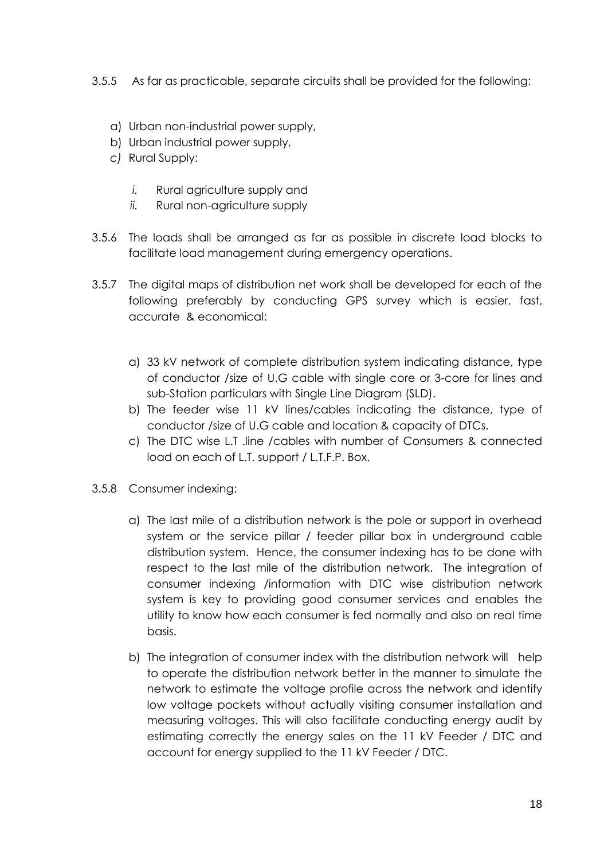- 3.5.5 As far as practicable, separate circuits shall be provided for the following:
	- a) Urban non-industrial power supply,
	- b) Urban industrial power supply,
	- *c)* Rural Supply:
		- *i.* Rural agriculture supply and
		- *ii.* Rural non-agriculture supply
- 3.5.6 The loads shall be arranged as far as possible in discrete load blocks to facilitate load management during emergency operations.
- 3.5.7 The digital maps of distribution net work shall be developed for each of the following preferably by conducting GPS survey which is easier, fast, accurate & economical:
	- a) 33 kV network of complete distribution system indicating distance, type of conductor /size of U.G cable with single core or 3-core for lines and sub-Station particulars with Single Line Diagram (SLD).
	- b) The feeder wise 11 kV lines/cables indicating the distance, type of conductor /size of U.G cable and location & capacity of DTCs.
	- c) The DTC wise L.T .line /cables with number of Consumers & connected load on each of L.T. support / L.T.F.P. Box.
- 3.5.8 Consumer indexing:
	- a) The last mile of a distribution network is the pole or support in overhead system or the service pillar / feeder pillar box in underground cable distribution system. Hence, the consumer indexing has to be done with respect to the last mile of the distribution network. The integration of consumer indexing /information with DTC wise distribution network system is key to providing good consumer services and enables the utility to know how each consumer is fed normally and also on real time basis.
	- b) The integration of consumer index with the distribution network will help to operate the distribution network better in the manner to simulate the network to estimate the voltage profile across the network and identify low voltage pockets without actually visiting consumer installation and measuring voltages. This will also facilitate conducting energy audit by estimating correctly the energy sales on the 11 kV Feeder / DTC and account for energy supplied to the 11 kV Feeder / DTC.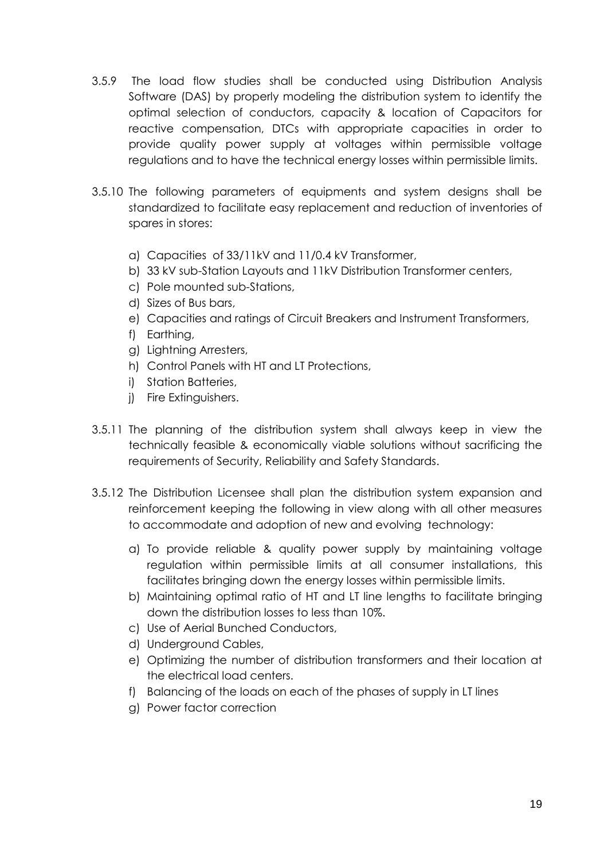- 3.5.9 The load flow studies shall be conducted using Distribution Analysis Software (DAS) by properly modeling the distribution system to identify the optimal selection of conductors, capacity & location of Capacitors for reactive compensation, DTCs with appropriate capacities in order to provide quality power supply at voltages within permissible voltage regulations and to have the technical energy losses within permissible limits.
- 3.5.10 The following parameters of equipments and system designs shall be standardized to facilitate easy replacement and reduction of inventories of spares in stores:
	- a) Capacities of 33/11kV and 11/0.4 kV Transformer,
	- b) 33 kV sub-Station Layouts and 11kV Distribution Transformer centers,
	- c) Pole mounted sub-Stations,
	- d) Sizes of Bus bars,
	- e) Capacities and ratings of Circuit Breakers and Instrument Transformers,
	- f) Earthing,
	- g) Lightning Arresters,
	- h) Control Panels with HT and LT Protections,
	- i) Station Batteries,
	- j) Fire Extinguishers.
- 3.5.11 The planning of the distribution system shall always keep in view the technically feasible & economically viable solutions without sacrificing the requirements of Security, Reliability and Safety Standards.
- 3.5.12 The Distribution Licensee shall plan the distribution system expansion and reinforcement keeping the following in view along with all other measures to accommodate and adoption of new and evolving technology:
	- a) To provide reliable & quality power supply by maintaining voltage regulation within permissible limits at all consumer installations, this facilitates bringing down the energy losses within permissible limits.
	- b) Maintaining optimal ratio of HT and LT line lengths to facilitate bringing down the distribution losses to less than 10%.
	- c) Use of Aerial Bunched Conductors,
	- d) Underground Cables,
	- e) Optimizing the number of distribution transformers and their location at the electrical load centers.
	- f) Balancing of the loads on each of the phases of supply in LT lines
	- g) Power factor correction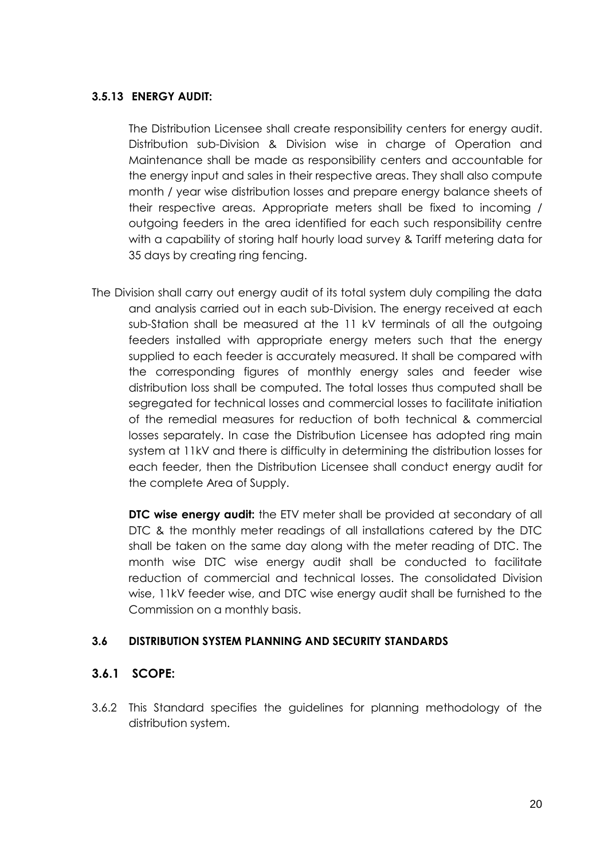## **3.5.13 ENERGY AUDIT:**

The Distribution Licensee shall create responsibility centers for energy audit. Distribution sub-Division & Division wise in charge of Operation and Maintenance shall be made as responsibility centers and accountable for the energy input and sales in their respective areas. They shall also compute month / year wise distribution losses and prepare energy balance sheets of their respective areas. Appropriate meters shall be fixed to incoming / outgoing feeders in the area identified for each such responsibility centre with a capability of storing half hourly load survey & Tariff metering data for 35 days by creating ring fencing.

The Division shall carry out energy audit of its total system duly compiling the data and analysis carried out in each sub-Division. The energy received at each sub-Station shall be measured at the 11 kV terminals of all the outgoing feeders installed with appropriate energy meters such that the energy supplied to each feeder is accurately measured. It shall be compared with the corresponding figures of monthly energy sales and feeder wise distribution loss shall be computed. The total losses thus computed shall be segregated for technical losses and commercial losses to facilitate initiation of the remedial measures for reduction of both technical & commercial losses separately. In case the Distribution Licensee has adopted ring main system at 11kV and there is difficulty in determining the distribution losses for each feeder, then the Distribution Licensee shall conduct energy audit for the complete Area of Supply.

**DTC wise energy audit:** the ETV meter shall be provided at secondary of all DTC & the monthly meter readings of all installations catered by the DTC shall be taken on the same day along with the meter reading of DTC. The month wise DTC wise energy audit shall be conducted to facilitate reduction of commercial and technical losses. The consolidated Division wise, 11kV feeder wise, and DTC wise energy audit shall be furnished to the Commission on a monthly basis.

### **3.6 DISTRIBUTION SYSTEM PLANNING AND SECURITY STANDARDS**

# **3.6.1 SCOPE:**

3.6.2 This Standard specifies the guidelines for planning methodology of the distribution system.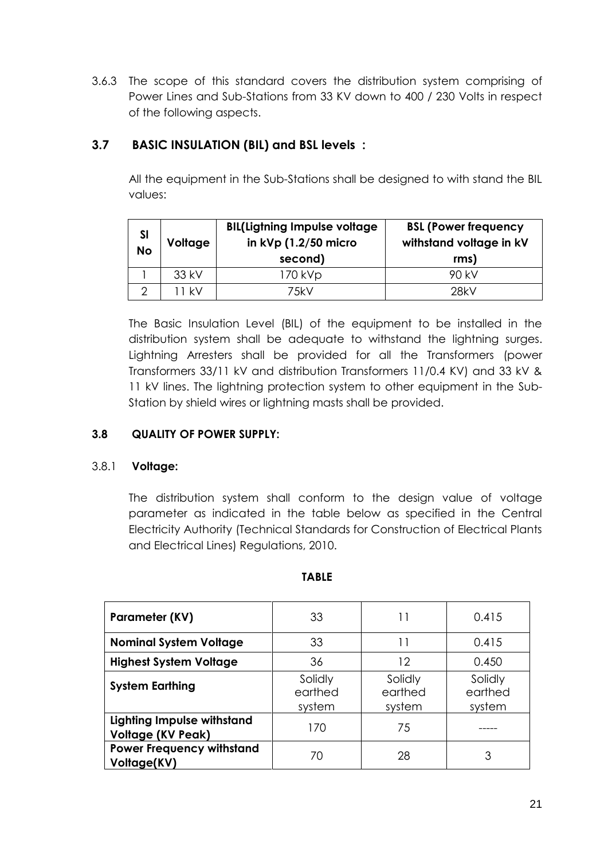3.6.3 The scope of this standard covers the distribution system comprising of Power Lines and Sub-Stations from 33 KV down to 400 / 230 Volts in respect of the following aspects.

# **3.7 BASIC INSULATION (BIL) and BSL levels :**

All the equipment in the Sub-Stations shall be designed to with stand the BIL values:

| SI<br><b>No</b> | Voltage | <b>BIL(Ligtning Impulse voltage</b><br>in $kVp(1.2/50$ micro<br>second) | <b>BSL (Power frequency</b><br>withstand voltage in kV<br>rms) |
|-----------------|---------|-------------------------------------------------------------------------|----------------------------------------------------------------|
|                 | 33 kV   | 170 kVp                                                                 | 90 kV                                                          |
|                 | 11 kV   | 7.5kV                                                                   | 28kV                                                           |

The Basic Insulation Level (BIL) of the equipment to be installed in the distribution system shall be adequate to withstand the lightning surges. Lightning Arresters shall be provided for all the Transformers (power Transformers 33/11 kV and distribution Transformers 11/0.4 KV) and 33 kV & 11 kV lines. The lightning protection system to other equipment in the Sub-Station by shield wires or lightning masts shall be provided.

# **3.8 QUALITY OF POWER SUPPLY:**

### 3.8.1 **Voltage:**

The distribution system shall conform to the design value of voltage parameter as indicated in the table below as specified in the Central Electricity Authority (Technical Standards for Construction of Electrical Plants and Electrical Lines) Regulations, 2010.

| Parameter (KV)                                                | 33                           | 11                           | 0.415                        |
|---------------------------------------------------------------|------------------------------|------------------------------|------------------------------|
| <b>Nominal System Voltage</b>                                 | 33                           | 11                           | 0.415                        |
| <b>Highest System Voltage</b>                                 | 36<br>12                     |                              | 0.450                        |
| <b>System Earthing</b>                                        | Solidly<br>earthed<br>system | Solidly<br>earthed<br>system | Solidly<br>earthed<br>system |
| <b>Lighting Impulse withstand</b><br><b>Voltage (KV Peak)</b> | 170                          | 75                           |                              |
| <b>Power Frequency withstand</b><br>Voltage(KV)               | $\sqrt{2}$                   | 28                           | 3                            |

#### **TABLE**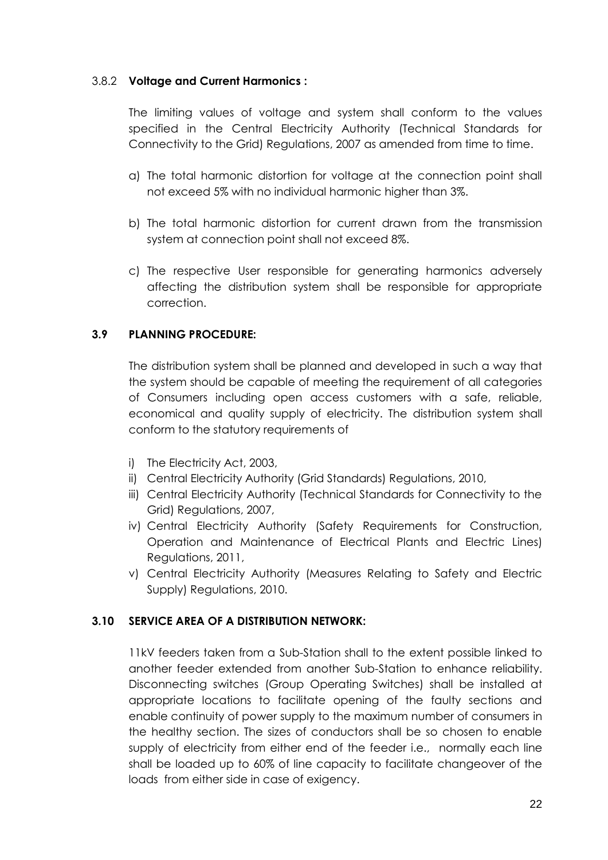## 3.8.2 **Voltage and Current Harmonics :**

The limiting values of voltage and system shall conform to the values specified in the Central Electricity Authority (Technical Standards for Connectivity to the Grid) Regulations, 2007 as amended from time to time.

- a) The total harmonic distortion for voltage at the connection point shall not exceed 5% with no individual harmonic higher than 3%.
- b) The total harmonic distortion for current drawn from the transmission system at connection point shall not exceed 8%.
- c) The respective User responsible for generating harmonics adversely affecting the distribution system shall be responsible for appropriate correction.

# **3.9 PLANNING PROCEDURE:**

The distribution system shall be planned and developed in such a way that the system should be capable of meeting the requirement of all categories of Consumers including open access customers with a safe, reliable, economical and quality supply of electricity. The distribution system shall conform to the statutory requirements of

- i) The Electricity Act, 2003,
- ii) Central Electricity Authority (Grid Standards) Regulations, 2010,
- iii) Central Electricity Authority (Technical Standards for Connectivity to the Grid) Regulations, 2007,
- iv) Central Electricity Authority (Safety Requirements for Construction, Operation and Maintenance of Electrical Plants and Electric Lines) Regulations, 2011,
- v) Central Electricity Authority (Measures Relating to Safety and Electric Supply) Regulations, 2010.

# **3.10 SERVICE AREA OF A DISTRIBUTION NETWORK:**

11kV feeders taken from a Sub-Station shall to the extent possible linked to another feeder extended from another Sub-Station to enhance reliability. Disconnecting switches (Group Operating Switches) shall be installed at appropriate locations to facilitate opening of the faulty sections and enable continuity of power supply to the maximum number of consumers in the healthy section. The sizes of conductors shall be so chosen to enable supply of electricity from either end of the feeder i.e., normally each line shall be loaded up to 60% of line capacity to facilitate changeover of the loads from either side in case of exigency.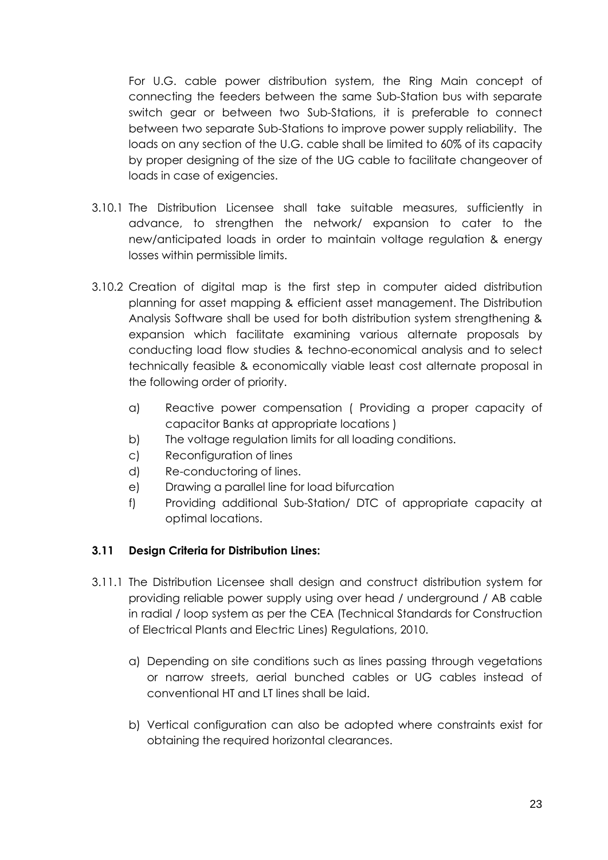For U.G. cable power distribution system, the Ring Main concept of connecting the feeders between the same Sub-Station bus with separate switch gear or between two Sub-Stations, it is preferable to connect between two separate Sub-Stations to improve power supply reliability. The loads on any section of the U.G. cable shall be limited to 60% of its capacity by proper designing of the size of the UG cable to facilitate changeover of loads in case of exigencies.

- 3.10.1 The Distribution Licensee shall take suitable measures, sufficiently in advance, to strengthen the network/ expansion to cater to the new/anticipated loads in order to maintain voltage regulation & energy losses within permissible limits.
- 3.10.2 Creation of digital map is the first step in computer aided distribution planning for asset mapping & efficient asset management. The Distribution Analysis Software shall be used for both distribution system strengthening & expansion which facilitate examining various alternate proposals by conducting load flow studies & techno-economical analysis and to select technically feasible & economically viable least cost alternate proposal in the following order of priority.
	- a) Reactive power compensation ( Providing a proper capacity of capacitor Banks at appropriate locations )
	- b) The voltage regulation limits for all loading conditions.
	- c) Reconfiguration of lines
	- d) Re-conductoring of lines.
	- e) Drawing a parallel line for load bifurcation
	- f) Providing additional Sub-Station/ DTC of appropriate capacity at optimal locations.

### **3.11 Design Criteria for Distribution Lines:**

- 3.11.1 The Distribution Licensee shall design and construct distribution system for providing reliable power supply using over head / underground / AB cable in radial / loop system as per the CEA (Technical Standards for Construction of Electrical Plants and Electric Lines) Regulations, 2010.
	- a) Depending on site conditions such as lines passing through vegetations or narrow streets, aerial bunched cables or UG cables instead of conventional HT and LT lines shall be laid.
	- b) Vertical configuration can also be adopted where constraints exist for obtaining the required horizontal clearances.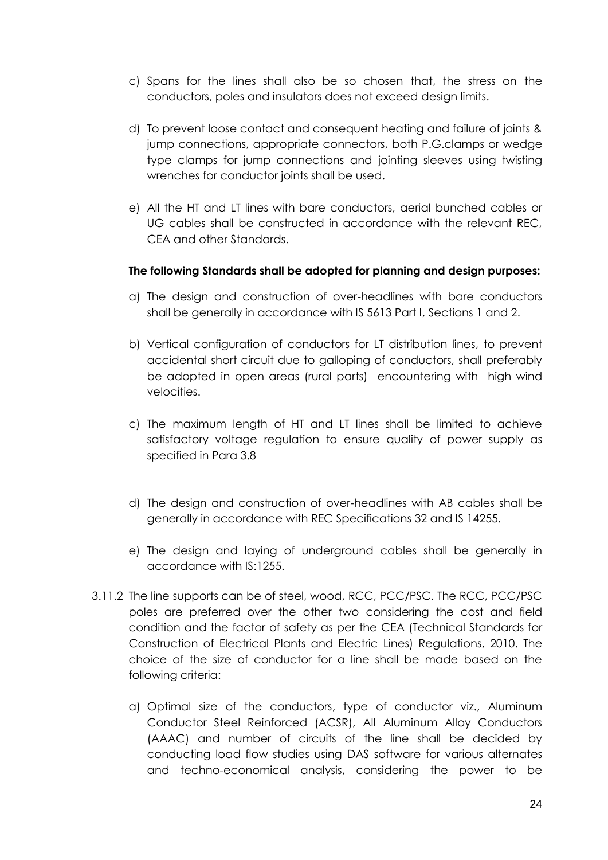- c) Spans for the lines shall also be so chosen that, the stress on the conductors, poles and insulators does not exceed design limits.
- d) To prevent loose contact and consequent heating and failure of joints & jump connections, appropriate connectors, both P.G.clamps or wedge type clamps for jump connections and jointing sleeves using twisting wrenches for conductor joints shall be used.
- e) All the HT and LT lines with bare conductors, aerial bunched cables or UG cables shall be constructed in accordance with the relevant REC, CEA and other Standards.

### **The following Standards shall be adopted for planning and design purposes:**

- a) The design and construction of over-headlines with bare conductors shall be generally in accordance with IS 5613 Part I, Sections 1 and 2.
- b) Vertical configuration of conductors for LT distribution lines, to prevent accidental short circuit due to galloping of conductors, shall preferably be adopted in open areas (rural parts) encountering with high wind velocities.
- c) The maximum length of HT and LT lines shall be limited to achieve satisfactory voltage regulation to ensure quality of power supply as specified in Para 3.8
- d) The design and construction of over-headlines with AB cables shall be generally in accordance with REC Specifications 32 and IS 14255.
- e) The design and laying of underground cables shall be generally in accordance with IS:1255.
- 3.11.2 The line supports can be of steel, wood, RCC, PCC/PSC. The RCC, PCC/PSC poles are preferred over the other two considering the cost and field condition and the factor of safety as per the CEA (Technical Standards for Construction of Electrical Plants and Electric Lines) Regulations, 2010. The choice of the size of conductor for a line shall be made based on the following criteria:
	- a) Optimal size of the conductors, type of conductor viz., Aluminum Conductor Steel Reinforced (ACSR), All Aluminum Alloy Conductors (AAAC) and number of circuits of the line shall be decided by conducting load flow studies using DAS software for various alternates and techno-economical analysis, considering the power to be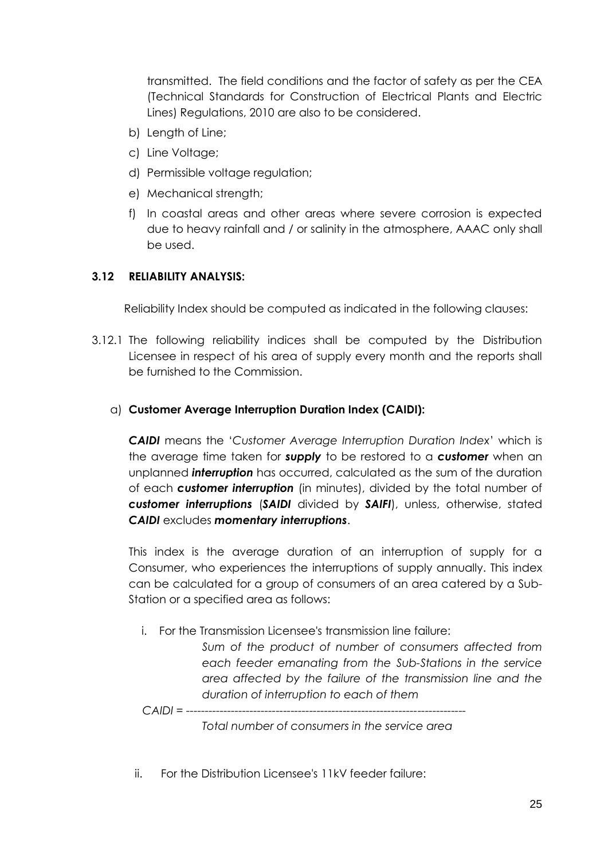transmitted. The field conditions and the factor of safety as per the CEA (Technical Standards for Construction of Electrical Plants and Electric Lines) Regulations, 2010 are also to be considered.

- b) Length of Line;
- c) Line Voltage;
- d) Permissible voltage regulation;
- e) Mechanical strength;
- f) In coastal areas and other areas where severe corrosion is expected due to heavy rainfall and / or salinity in the atmosphere, AAAC only shall be used.

### **3.12 RELIABILITY ANALYSIS:**

Reliability Index should be computed as indicated in the following clauses:

3.12.1 The following reliability indices shall be computed by the Distribution Licensee in respect of his area of supply every month and the reports shall be furnished to the Commission.

#### a) **Customer Average Interruption Duration Index (CAIDI):**

*CAIDI* means the '*Customer Average Interruption Duration Index*' which is the average time taken for *supply* to be restored to a *customer* when an unplanned *interruption* has occurred, calculated as the sum of the duration of each *customer interruption* (in minutes), divided by the total number of *customer interruptions* (*SAIDI* divided by *SAIFI*), unless, otherwise, stated *CAIDI* excludes *momentary interruptions*.

This index is the average duration of an interruption of supply for a Consumer, who experiences the interruptions of supply annually. This index can be calculated for a group of consumers of an area catered by a Sub-Station or a specified area as follows:

i. For the Transmission Licensee's transmission line failure:

*Sum of the product of number of consumers affected from each feeder emanating from the Sub-Stations in the service area affected by the failure of the transmission line and the duration of interruption to each of them*

*CAIDI = ---------------------------------------------------------------------------*

*Total number of consumers in the service area*

ii. For the Distribution Licensee's 11kV feeder failure: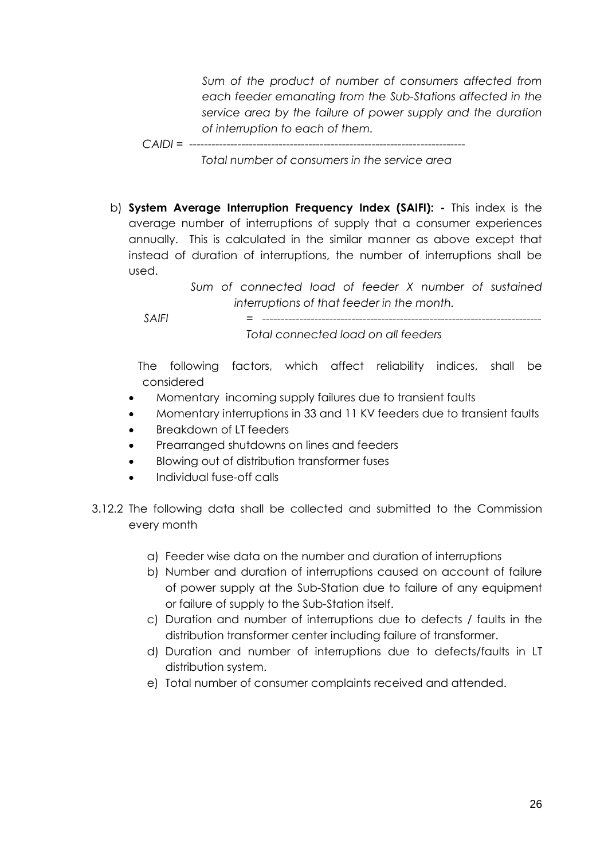*Sum of the product of number of consumers affected from each feeder emanating from the Sub-Stations affected in the service area by the failure of power supply and the duration of interruption to each of them.*

*CAIDI = --------------------------------------------------------------------------*

 *Total number of consumers in the service area*

b) **System Average Interruption Frequency Index (SAIFI): -** This index is the average number of interruptions of supply that a consumer experiences annually. This is calculated in the similar manner as above except that instead of duration of interruptions, the number of interruptions shall be used.

> *Sum of connected load of feeder X number of sustained interruptions of that feeder in the month.*

 *SAIFI = ---------------------------------------------------------------------------*

 *Total connected load on all feeders*

 The following factors, which affect reliability indices, shall be considered

- Momentary incoming supply failures due to transient faults
- Momentary interruptions in 33 and 11 KV feeders due to transient faults
- Breakdown of LT feeders
- Prearranged shutdowns on lines and feeders
- Blowing out of distribution transformer fuses
- Individual fuse-off calls
- 3.12.2 The following data shall be collected and submitted to the Commission every month
	- a) Feeder wise data on the number and duration of interruptions
	- b) Number and duration of interruptions caused on account of failure of power supply at the Sub-Station due to failure of any equipment or failure of supply to the Sub-Station itself.
	- c) Duration and number of interruptions due to defects / faults in the distribution transformer center including failure of transformer.
	- d) Duration and number of interruptions due to defects/faults in LT distribution system.
	- e) Total number of consumer complaints received and attended.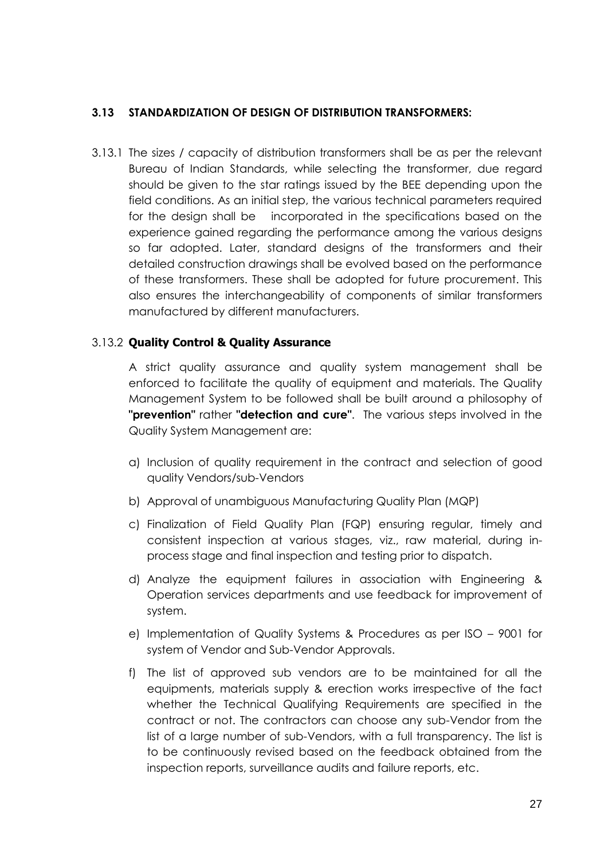## **3.13 STANDARDIZATION OF DESIGN OF DISTRIBUTION TRANSFORMERS:**

3.13.1 The sizes / capacity of distribution transformers shall be as per the relevant Bureau of Indian Standards, while selecting the transformer, due regard should be given to the star ratings issued by the BEE depending upon the field conditions. As an initial step, the various technical parameters required for the design shall be incorporated in the specifications based on the experience gained regarding the performance among the various designs so far adopted. Later, standard designs of the transformers and their detailed construction drawings shall be evolved based on the performance of these transformers. These shall be adopted for future procurement. This also ensures the interchangeability of components of similar transformers manufactured by different manufacturers.

## 3.13.2 **Quality Control & Quality Assurance**

A strict quality assurance and quality system management shall be enforced to facilitate the quality of equipment and materials. The Quality Management System to be followed shall be built around a philosophy of **"prevention"** rather **"detection and cure"**. The various steps involved in the Quality System Management are:

- a) Inclusion of quality requirement in the contract and selection of good quality Vendors/sub-Vendors
- b) Approval of unambiguous Manufacturing Quality Plan (MQP)
- c) Finalization of Field Quality Plan (FQP) ensuring regular, timely and consistent inspection at various stages, viz., raw material, during inprocess stage and final inspection and testing prior to dispatch.
- d) Analyze the equipment failures in association with Engineering & Operation services departments and use feedback for improvement of system.
- e) Implementation of Quality Systems & Procedures as per ISO 9001 for system of Vendor and Sub-Vendor Approvals.
- f) The list of approved sub vendors are to be maintained for all the equipments, materials supply & erection works irrespective of the fact whether the Technical Qualifying Requirements are specified in the contract or not. The contractors can choose any sub-Vendor from the list of a large number of sub-Vendors, with a full transparency. The list is to be continuously revised based on the feedback obtained from the inspection reports, surveillance audits and failure reports, etc.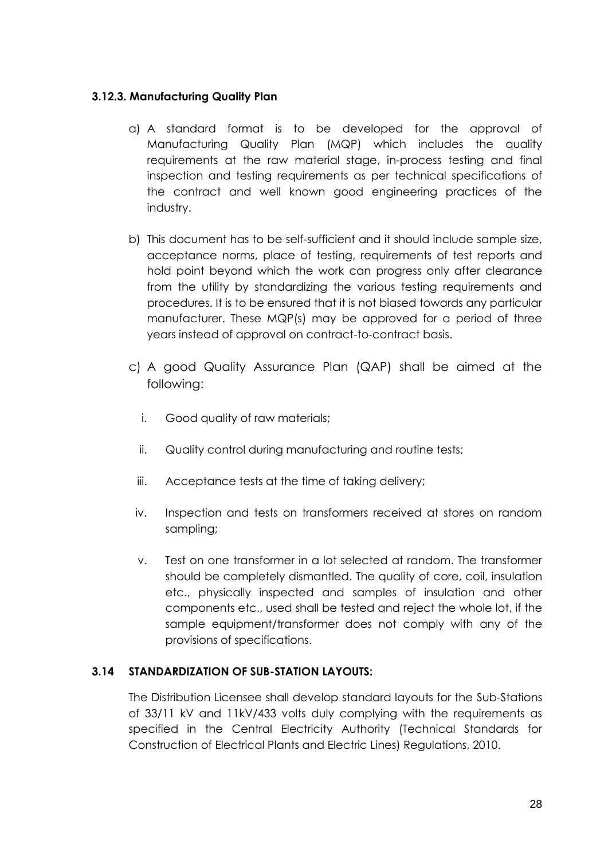## **3.12.3. Manufacturing Quality Plan**

- a) A standard format is to be developed for the approval of Manufacturing Quality Plan (MQP) which includes the quality requirements at the raw material stage, in-process testing and final inspection and testing requirements as per technical specifications of the contract and well known good engineering practices of the industry.
- b) This document has to be self-sufficient and it should include sample size, acceptance norms, place of testing, requirements of test reports and hold point beyond which the work can progress only after clearance from the utility by standardizing the various testing requirements and procedures. It is to be ensured that it is not biased towards any particular manufacturer. These MQP(s) may be approved for a period of three years instead of approval on contract-to-contract basis.
- c) A good Quality Assurance Plan (QAP) shall be aimed at the following:
	- i. Good quality of raw materials;
	- ii. Quality control during manufacturing and routine tests;
	- iii. Acceptance tests at the time of taking delivery;
	- iv. Inspection and tests on transformers received at stores on random sampling;
	- v. Test on one transformer in a lot selected at random. The transformer should be completely dismantled. The quality of core, coil, insulation etc., physically inspected and samples of insulation and other components etc., used shall be tested and reject the whole lot, if the sample equipment/transformer does not comply with any of the provisions of specifications.

# **3.14 STANDARDIZATION OF SUB-STATION LAYOUTS:**

The Distribution Licensee shall develop standard layouts for the Sub-Stations of 33/11 kV and 11kV/433 volts duly complying with the requirements as specified in the Central Electricity Authority (Technical Standards for Construction of Electrical Plants and Electric Lines) Regulations, 2010.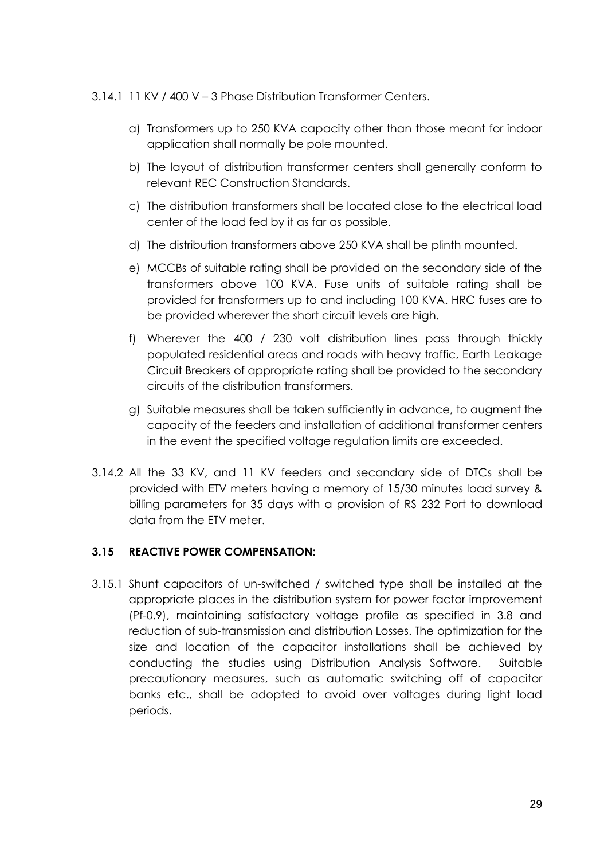#### 3.14.1 11 KV / 400 V – 3 Phase Distribution Transformer Centers.

- a) Transformers up to 250 KVA capacity other than those meant for indoor application shall normally be pole mounted.
- b) The layout of distribution transformer centers shall generally conform to relevant REC Construction Standards.
- c) The distribution transformers shall be located close to the electrical load center of the load fed by it as far as possible.
- d) The distribution transformers above 250 KVA shall be plinth mounted.
- e) MCCBs of suitable rating shall be provided on the secondary side of the transformers above 100 KVA. Fuse units of suitable rating shall be provided for transformers up to and including 100 KVA. HRC fuses are to be provided wherever the short circuit levels are high.
- f) Wherever the 400 / 230 volt distribution lines pass through thickly populated residential areas and roads with heavy traffic, Earth Leakage Circuit Breakers of appropriate rating shall be provided to the secondary circuits of the distribution transformers.
- g) Suitable measures shall be taken sufficiently in advance, to augment the capacity of the feeders and installation of additional transformer centers in the event the specified voltage regulation limits are exceeded.
- 3.14.2 All the 33 KV, and 11 KV feeders and secondary side of DTCs shall be provided with ETV meters having a memory of 15/30 minutes load survey & billing parameters for 35 days with a provision of RS 232 Port to download data from the ETV meter.

# **3.15 REACTIVE POWER COMPENSATION:**

3.15.1 Shunt capacitors of un-switched / switched type shall be installed at the appropriate places in the distribution system for power factor improvement (Pf-0.9), maintaining satisfactory voltage profile as specified in 3.8 and reduction of sub-transmission and distribution Losses. The optimization for the size and location of the capacitor installations shall be achieved by conducting the studies using Distribution Analysis Software. Suitable precautionary measures, such as automatic switching off of capacitor banks etc., shall be adopted to avoid over voltages during light load periods.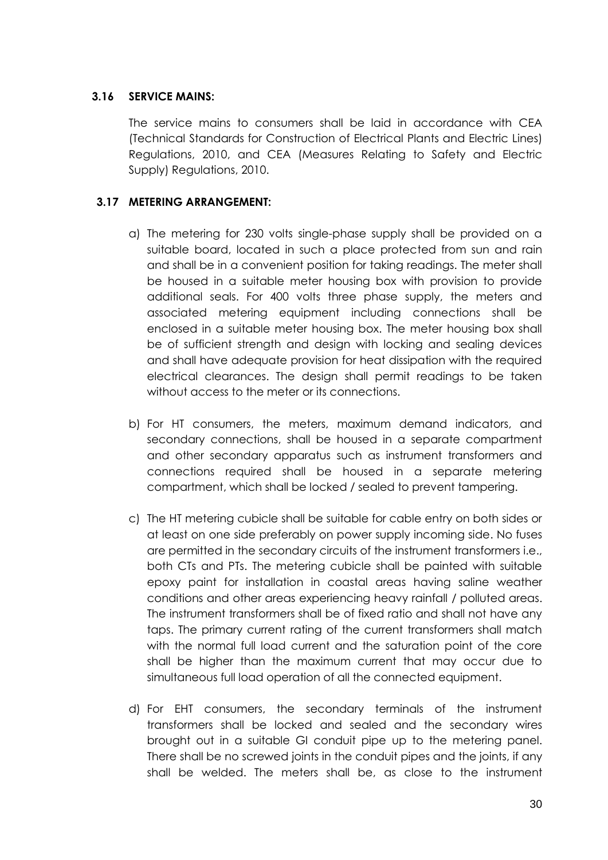## **3.16 SERVICE MAINS:**

The service mains to consumers shall be laid in accordance with CEA (Technical Standards for Construction of Electrical Plants and Electric Lines) Regulations, 2010, and CEA (Measures Relating to Safety and Electric Supply) Regulations, 2010.

## **3.17 METERING ARRANGEMENT:**

- a) The metering for 230 volts single-phase supply shall be provided on a suitable board, located in such a place protected from sun and rain and shall be in a convenient position for taking readings. The meter shall be housed in a suitable meter housing box with provision to provide additional seals. For 400 volts three phase supply, the meters and associated metering equipment including connections shall be enclosed in a suitable meter housing box. The meter housing box shall be of sufficient strength and design with locking and sealing devices and shall have adequate provision for heat dissipation with the required electrical clearances. The design shall permit readings to be taken without access to the meter or its connections.
- b) For HT consumers, the meters, maximum demand indicators, and secondary connections, shall be housed in a separate compartment and other secondary apparatus such as instrument transformers and connections required shall be housed in a separate metering compartment, which shall be locked / sealed to prevent tampering.
- c) The HT metering cubicle shall be suitable for cable entry on both sides or at least on one side preferably on power supply incoming side. No fuses are permitted in the secondary circuits of the instrument transformers i.e., both CTs and PTs. The metering cubicle shall be painted with suitable epoxy paint for installation in coastal areas having saline weather conditions and other areas experiencing heavy rainfall / polluted areas. The instrument transformers shall be of fixed ratio and shall not have any taps. The primary current rating of the current transformers shall match with the normal full load current and the saturation point of the core shall be higher than the maximum current that may occur due to simultaneous full load operation of all the connected equipment.
- d) For EHT consumers, the secondary terminals of the instrument transformers shall be locked and sealed and the secondary wires brought out in a suitable GI conduit pipe up to the metering panel. There shall be no screwed joints in the conduit pipes and the joints, if any shall be welded. The meters shall be, as close to the instrument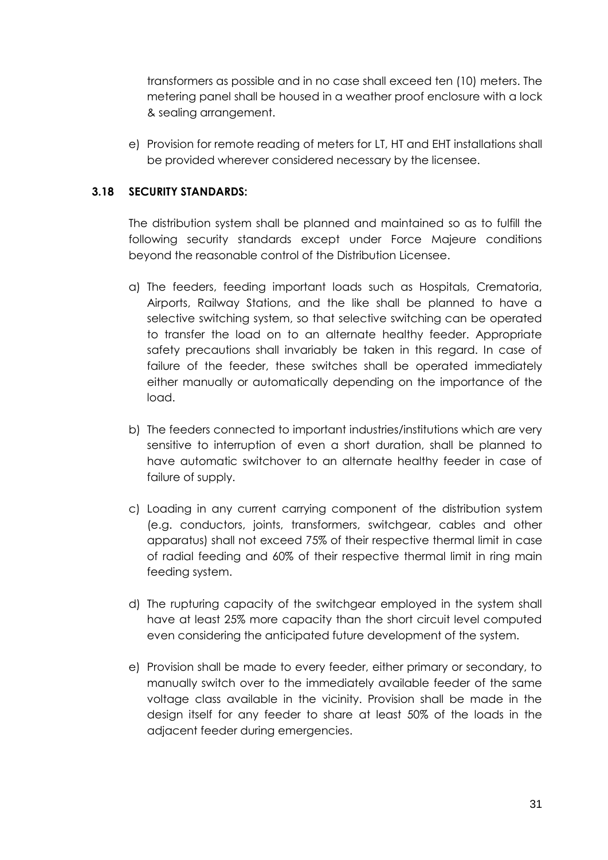transformers as possible and in no case shall exceed ten (10) meters. The metering panel shall be housed in a weather proof enclosure with a lock & sealing arrangement.

e) Provision for remote reading of meters for LT, HT and EHT installations shall be provided wherever considered necessary by the licensee.

## **3.18 SECURITY STANDARDS:**

The distribution system shall be planned and maintained so as to fulfill the following security standards except under Force Majeure conditions beyond the reasonable control of the Distribution Licensee.

- a) The feeders, feeding important loads such as Hospitals, Crematoria, Airports, Railway Stations, and the like shall be planned to have a selective switching system, so that selective switching can be operated to transfer the load on to an alternate healthy feeder. Appropriate safety precautions shall invariably be taken in this regard. In case of failure of the feeder, these switches shall be operated immediately either manually or automatically depending on the importance of the load.
- b) The feeders connected to important industries/institutions which are very sensitive to interruption of even a short duration, shall be planned to have automatic switchover to an alternate healthy feeder in case of failure of supply.
- c) Loading in any current carrying component of the distribution system (e.g. conductors, joints, transformers, switchgear, cables and other apparatus) shall not exceed 75% of their respective thermal limit in case of radial feeding and 60% of their respective thermal limit in ring main feeding system.
- d) The rupturing capacity of the switchgear employed in the system shall have at least 25% more capacity than the short circuit level computed even considering the anticipated future development of the system.
- e) Provision shall be made to every feeder, either primary or secondary, to manually switch over to the immediately available feeder of the same voltage class available in the vicinity. Provision shall be made in the design itself for any feeder to share at least 50% of the loads in the adjacent feeder during emergencies.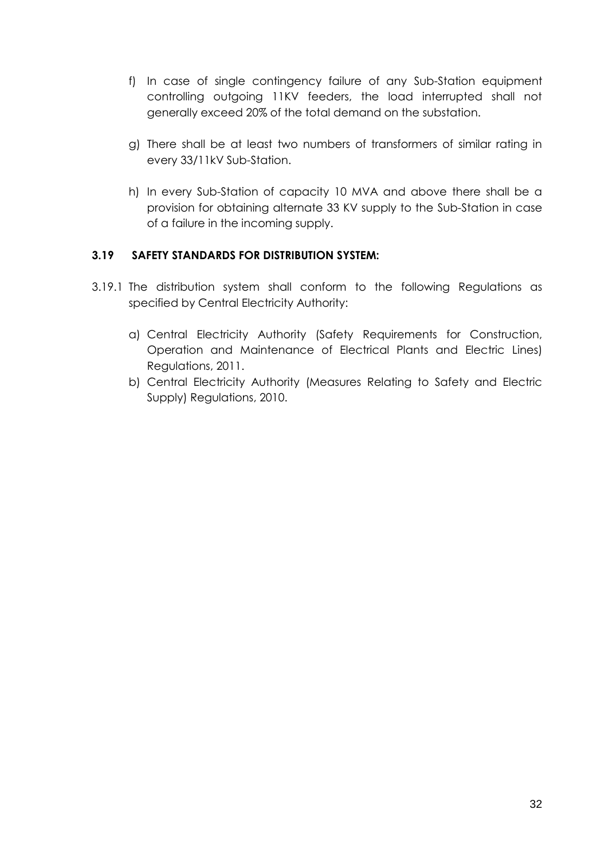- f) In case of single contingency failure of any Sub-Station equipment controlling outgoing 11KV feeders, the load interrupted shall not generally exceed 20% of the total demand on the substation.
- g) There shall be at least two numbers of transformers of similar rating in every 33/11kV Sub-Station.
- h) In every Sub-Station of capacity 10 MVA and above there shall be a provision for obtaining alternate 33 KV supply to the Sub-Station in case of a failure in the incoming supply.

## **3.19 SAFETY STANDARDS FOR DISTRIBUTION SYSTEM:**

- 3.19.1 The distribution system shall conform to the following Regulations as specified by Central Electricity Authority:
	- a) Central Electricity Authority (Safety Requirements for Construction, Operation and Maintenance of Electrical Plants and Electric Lines) Regulations, 2011.
	- b) Central Electricity Authority (Measures Relating to Safety and Electric Supply) Regulations, 2010.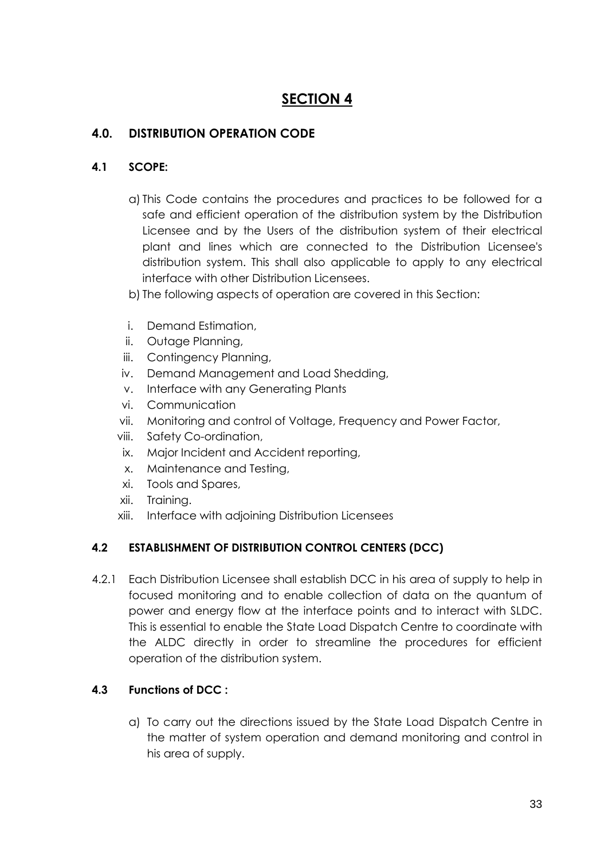# **SECTION 4**

# **4.0. DISTRIBUTION OPERATION CODE**

## **4.1 SCOPE:**

- a) This Code contains the procedures and practices to be followed for a safe and efficient operation of the distribution system by the Distribution Licensee and by the Users of the distribution system of their electrical plant and lines which are connected to the Distribution Licensee's distribution system. This shall also applicable to apply to any electrical interface with other Distribution Licensees.
- b) The following aspects of operation are covered in this Section:
- i. Demand Estimation,
- ii. Outage Planning,
- iii. Contingency Planning,
- iv. Demand Management and Load Shedding,
- v. Interface with any Generating Plants
- vi. Communication
- vii. Monitoring and control of Voltage, Frequency and Power Factor,
- viii. Safety Co-ordination,
- ix. Major Incident and Accident reporting,
- x. Maintenance and Testing,
- xi. Tools and Spares,
- xii. Training.
- xiii. Interface with adjoining Distribution Licensees

# **4.2 ESTABLISHMENT OF DISTRIBUTION CONTROL CENTERS (DCC)**

4.2.1 Each Distribution Licensee shall establish DCC in his area of supply to help in focused monitoring and to enable collection of data on the quantum of power and energy flow at the interface points and to interact with SLDC. This is essential to enable the State Load Dispatch Centre to coordinate with the ALDC directly in order to streamline the procedures for efficient operation of the distribution system.

# **4.3 Functions of DCC :**

a) To carry out the directions issued by the State Load Dispatch Centre in the matter of system operation and demand monitoring and control in his area of supply.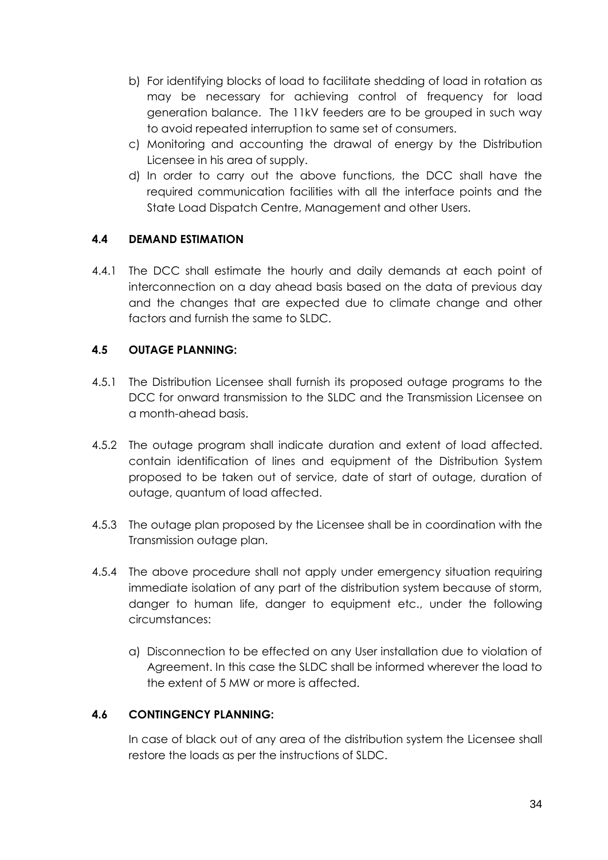- b) For identifying blocks of load to facilitate shedding of load in rotation as may be necessary for achieving control of frequency for load generation balance. The 11kV feeders are to be grouped in such way to avoid repeated interruption to same set of consumers.
- c) Monitoring and accounting the drawal of energy by the Distribution Licensee in his area of supply.
- d) In order to carry out the above functions, the DCC shall have the required communication facilities with all the interface points and the State Load Dispatch Centre, Management and other Users.

# **4.4 DEMAND ESTIMATION**

4.4.1 The DCC shall estimate the hourly and daily demands at each point of interconnection on a day ahead basis based on the data of previous day and the changes that are expected due to climate change and other factors and furnish the same to SLDC.

# **4.5 OUTAGE PLANNING:**

- 4.5.1 The Distribution Licensee shall furnish its proposed outage programs to the DCC for onward transmission to the SLDC and the Transmission Licensee on a month-ahead basis.
- 4.5.2 The outage program shall indicate duration and extent of load affected. contain identification of lines and equipment of the Distribution System proposed to be taken out of service, date of start of outage, duration of outage, quantum of load affected.
- 4.5.3 The outage plan proposed by the Licensee shall be in coordination with the Transmission outage plan.
- 4.5.4 The above procedure shall not apply under emergency situation requiring immediate isolation of any part of the distribution system because of storm, danger to human life, danger to equipment etc., under the following circumstances:
	- a) Disconnection to be effected on any User installation due to violation of Agreement. In this case the SLDC shall be informed wherever the load to the extent of 5 MW or more is affected.

# **4.6 CONTINGENCY PLANNING:**

In case of black out of any area of the distribution system the Licensee shall restore the loads as per the instructions of SLDC.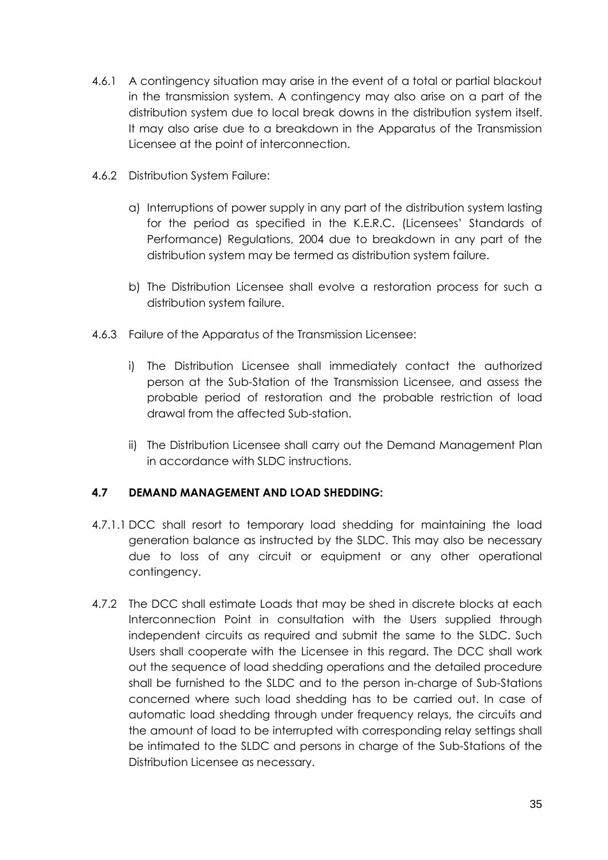- 4.6.1 A contingency situation may arise in the event of a total or partial blackout in the transmission system. A contingency may also arise on a part of the distribution system due to local break downs in the distribution system itself. It may also arise due to a breakdown in the Apparatus of the Transmission Licensee at the point of interconnection.
- 4.6.2 Distribution System Failure:
	- a) Interruptions of power supply in any part of the distribution system lasting for the period as specified in the K.E.R.C. (Licensees' Standards of Performance) Regulations, 2004 due to breakdown in any part of the distribution system may be termed as distribution system failure.
	- b) The Distribution Licensee shall evolve a restoration process for such a distribution system failure.
- 4.6.3 Failure of the Apparatus of the Transmission Licensee:
	- i) The Distribution Licensee shall immediately contact the authorized person at the Sub-Station of the Transmission Licensee, and assess the probable period of restoration and the probable restriction of load drawal from the affected Sub-station.
	- ii) The Distribution Licensee shall carry out the Demand Management Plan in accordance with SLDC instructions.

# **4.7 DEMAND MANAGEMENT AND LOAD SHEDDING:**

- 4.7.1.1 DCC shall resort to temporary load shedding for maintaining the load generation balance as instructed by the SLDC. This may also be necessary due to loss of any circuit or equipment or any other operational contingency.
- 4.7.2 The DCC shall estimate Loads that may be shed in discrete blocks at each Interconnection Point in consultation with the Users supplied through independent circuits as required and submit the same to the SLDC. Such Users shall cooperate with the Licensee in this regard. The DCC shall work out the sequence of load shedding operations and the detailed procedure shall be furnished to the SLDC and to the person in-charge of Sub-Stations concerned where such load shedding has to be carried out. In case of automatic load shedding through under frequency relays, the circuits and the amount of load to be interrupted with corresponding relay settings shall be intimated to the SLDC and persons in charge of the Sub-Stations of the Distribution Licensee as necessary.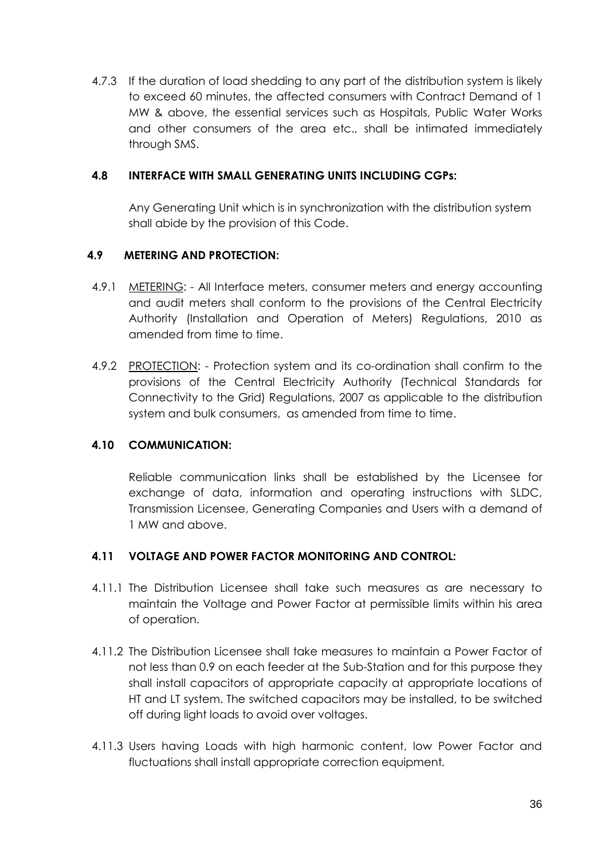4.7.3 If the duration of load shedding to any part of the distribution system is likely to exceed 60 minutes, the affected consumers with Contract Demand of 1 MW & above, the essential services such as Hospitals, Public Water Works and other consumers of the area etc., shall be intimated immediately through SMS.

## **4.8 INTERFACE WITH SMALL GENERATING UNITS INCLUDING CGPs:**

Any Generating Unit which is in synchronization with the distribution system shall abide by the provision of this Code.

### **4.9 METERING AND PROTECTION:**

- 4.9.1 METERING: All Interface meters, consumer meters and energy accounting and audit meters shall conform to the provisions of the Central Electricity Authority (Installation and Operation of Meters) Regulations, 2010 as amended from time to time.
- 4.9.2 PROTECTION: Protection system and its co-ordination shall confirm to the provisions of the Central Electricity Authority (Technical Standards for Connectivity to the Grid) Regulations, 2007 as applicable to the distribution system and bulk consumers, as amended from time to time.

# **4.10 COMMUNICATION:**

Reliable communication links shall be established by the Licensee for exchange of data, information and operating instructions with SLDC, Transmission Licensee, Generating Companies and Users with a demand of 1 MW and above.

# **4.11 VOLTAGE AND POWER FACTOR MONITORING AND CONTROL:**

- 4.11.1 The Distribution Licensee shall take such measures as are necessary to maintain the Voltage and Power Factor at permissible limits within his area of operation.
- 4.11.2 The Distribution Licensee shall take measures to maintain a Power Factor of not less than 0.9 on each feeder at the Sub-Station and for this purpose they shall install capacitors of appropriate capacity at appropriate locations of HT and LT system. The switched capacitors may be installed, to be switched off during light loads to avoid over voltages.
- 4.11.3 Users having Loads with high harmonic content, low Power Factor and fluctuations shall install appropriate correction equipment*.*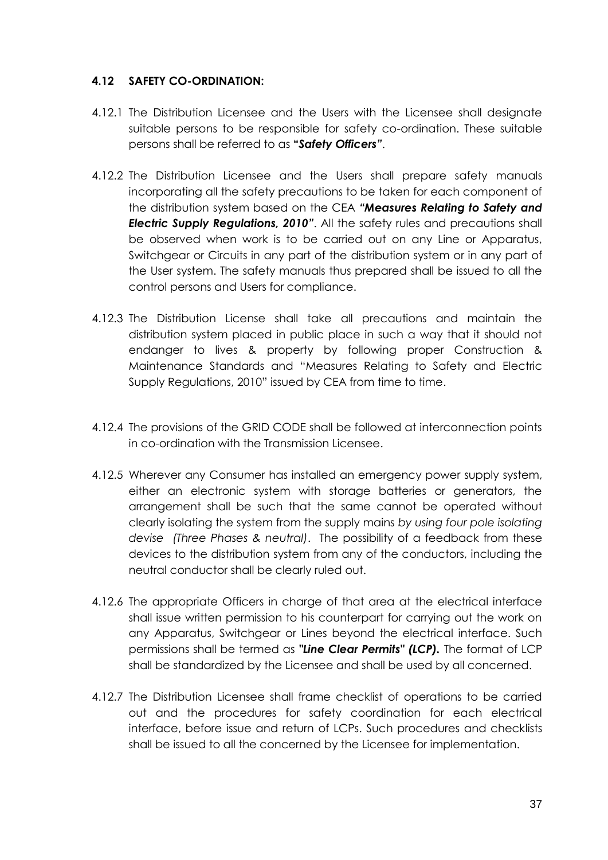## **4.12 SAFETY CO-ORDINATION:**

- 4.12.1 The Distribution Licensee and the Users with the Licensee shall designate suitable persons to be responsible for safety co-ordination. These suitable persons shall be referred to as **"***Safety Officers"*.
- 4.12.2 The Distribution Licensee and the Users shall prepare safety manuals incorporating all the safety precautions to be taken for each component of the distribution system based on the CEA *"Measures Relating to Safety and Electric Supply Regulations, 2010"*. All the safety rules and precautions shall be observed when work is to be carried out on any Line or Apparatus, Switchgear or Circuits in any part of the distribution system or in any part of the User system. The safety manuals thus prepared shall be issued to all the control persons and Users for compliance.
- 4.12.3 The Distribution License shall take all precautions and maintain the distribution system placed in public place in such a way that it should not endanger to lives & property by following proper Construction & Maintenance Standards and "Measures Relating to Safety and Electric Supply Regulations, 2010" issued by CEA from time to time.
- 4.12.4 The provisions of the GRID CODE shall be followed at interconnection points in co-ordination with the Transmission Licensee.
- 4.12.5 Wherever any Consumer has installed an emergency power supply system, either an electronic system with storage batteries or generators, the arrangement shall be such that the same cannot be operated without clearly isolating the system from the supply mains *by using four pole isolating devise (Three Phases & neutral)*. The possibility of a feedback from these devices to the distribution system from any of the conductors, including the neutral conductor shall be clearly ruled out.
- 4.12.6 The appropriate Officers in charge of that area at the electrical interface shall issue written permission to his counterpart for carrying out the work on any Apparatus, Switchgear or Lines beyond the electrical interface. Such permissions shall be termed as *"Line Clear Permits" (LCP).* The format of LCP shall be standardized by the Licensee and shall be used by all concerned.
- 4.12.7 The Distribution Licensee shall frame checklist of operations to be carried out and the procedures for safety coordination for each electrical interface, before issue and return of LCPs. Such procedures and checklists shall be issued to all the concerned by the Licensee for implementation.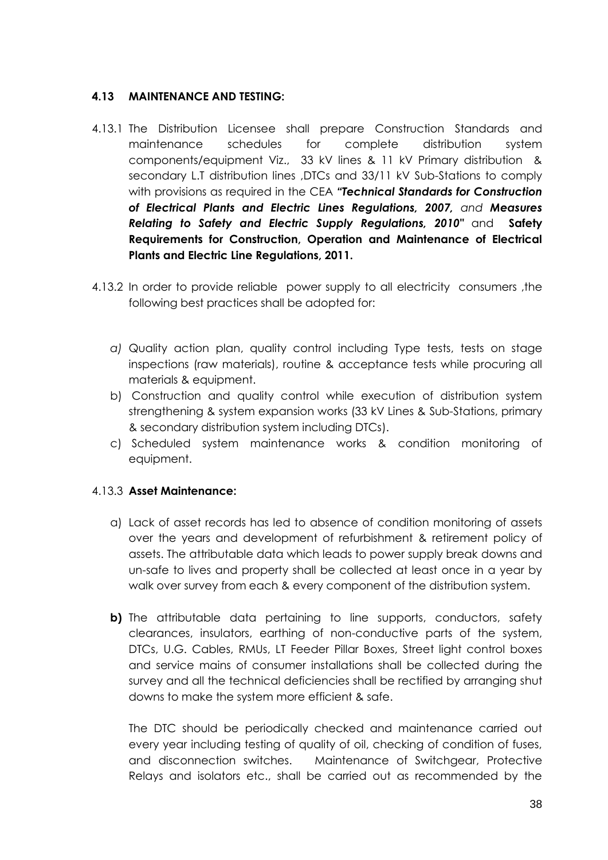## **4.13 MAINTENANCE AND TESTING:**

- 4.13.1 The Distribution Licensee shall prepare Construction Standards and maintenance schedules for complete distribution system components/equipment Viz., 33 kV lines & 11 kV Primary distribution & secondary L.T distribution lines ,DTCs and 33/11 kV Sub-Stations to comply with provisions as required in the CEA *"Technical Standards for Construction of Electrical Plants and Electric Lines Regulations, 2007, and Measures Relating to Safety and Electric Supply Regulations, 2010"* and **Safety Requirements for Construction, Operation and Maintenance of Electrical Plants and Electric Line Regulations, 2011.**
- 4.13.2 In order to provide reliable power supply to all electricity consumers ,the following best practices shall be adopted for:
	- *a)* Quality action plan, quality control including Type tests, tests on stage inspections (raw materials), routine & acceptance tests while procuring all materials & equipment.
	- b) Construction and quality control while execution of distribution system strengthening & system expansion works (33 kV Lines & Sub-Stations, primary & secondary distribution system including DTCs).
	- c) Scheduled system maintenance works & condition monitoring of equipment.

# 4.13.3 **Asset Maintenance:**

- a) Lack of asset records has led to absence of condition monitoring of assets over the years and development of refurbishment & retirement policy of assets. The attributable data which leads to power supply break downs and un-safe to lives and property shall be collected at least once in a year by walk over survey from each & every component of the distribution system.
- **b)** The attributable data pertaining to line supports, conductors, safety clearances, insulators, earthing of non-conductive parts of the system, DTCs, U.G. Cables, RMUs, LT Feeder Pillar Boxes, Street light control boxes and service mains of consumer installations shall be collected during the survey and all the technical deficiencies shall be rectified by arranging shut downs to make the system more efficient & safe.

The DTC should be periodically checked and maintenance carried out every year including testing of quality of oil, checking of condition of fuses, and disconnection switches. Maintenance of Switchgear, Protective Relays and isolators etc., shall be carried out as recommended by the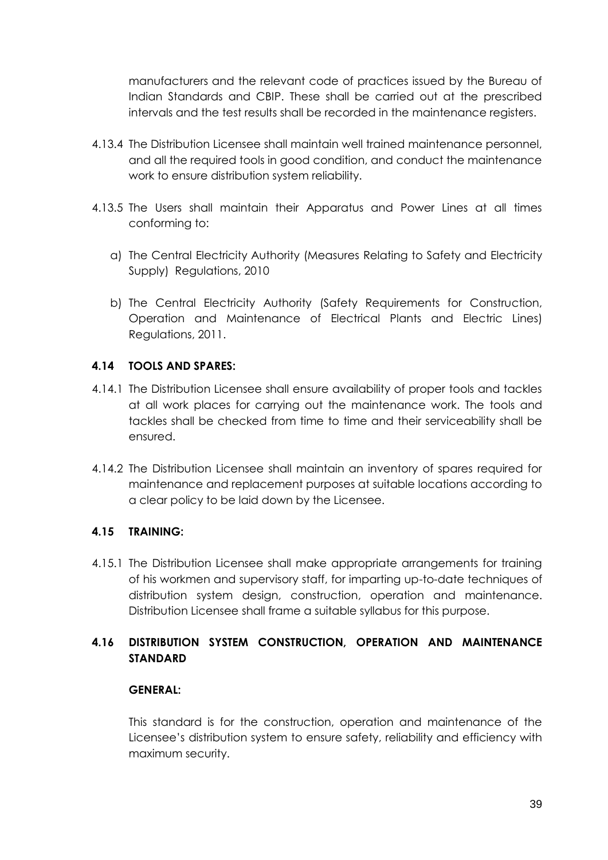manufacturers and the relevant code of practices issued by the Bureau of Indian Standards and CBIP. These shall be carried out at the prescribed intervals and the test results shall be recorded in the maintenance registers.

- 4.13.4 The Distribution Licensee shall maintain well trained maintenance personnel, and all the required tools in good condition, and conduct the maintenance work to ensure distribution system reliability.
- 4.13.5 The Users shall maintain their Apparatus and Power Lines at all times conforming to:
	- a) The Central Electricity Authority (Measures Relating to Safety and Electricity Supply) Regulations, 2010
	- b) The Central Electricity Authority (Safety Requirements for Construction, Operation and Maintenance of Electrical Plants and Electric Lines) Regulations, 2011.

## **4.14 TOOLS AND SPARES:**

- 4.14.1 The Distribution Licensee shall ensure availability of proper tools and tackles at all work places for carrying out the maintenance work. The tools and tackles shall be checked from time to time and their serviceability shall be ensured.
- 4.14.2 The Distribution Licensee shall maintain an inventory of spares required for maintenance and replacement purposes at suitable locations according to a clear policy to be laid down by the Licensee.

### **4.15 TRAINING:**

4.15.1 The Distribution Licensee shall make appropriate arrangements for training of his workmen and supervisory staff, for imparting up-to-date techniques of distribution system design, construction, operation and maintenance. Distribution Licensee shall frame a suitable syllabus for this purpose.

# **4.16 DISTRIBUTION SYSTEM CONSTRUCTION, OPERATION AND MAINTENANCE STANDARD**

### **GENERAL:**

This standard is for the construction, operation and maintenance of the Licensee's distribution system to ensure safety, reliability and efficiency with maximum security.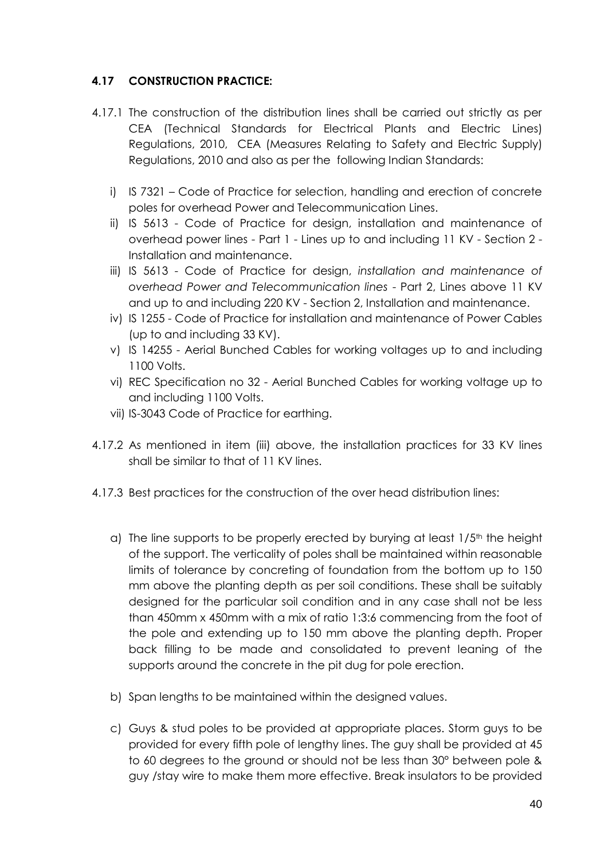## **4.17 CONSTRUCTION PRACTICE:**

- 4.17.1 The construction of the distribution lines shall be carried out strictly as per CEA (Technical Standards for Electrical Plants and Electric Lines) Regulations, 2010, CEA (Measures Relating to Safety and Electric Supply) Regulations, 2010 and also as per the following Indian Standards:
	- i) IS 7321 Code of Practice for selection, handling and erection of concrete poles for overhead Power and Telecommunication Lines.
	- ii) IS 5613 Code of Practice for design, installation and maintenance of overhead power lines - Part 1 - Lines up to and including 11 KV - Section 2 - Installation and maintenance.
	- iii) IS 5613 Code of Practice for design, *installation and maintenance of overhead Power and Telecommunication lines* - Part 2, Lines above 11 KV and up to and including 220 KV - Section 2, Installation and maintenance.
	- iv) IS 1255 Code of Practice for installation and maintenance of Power Cables (up to and including 33 KV).
	- v) IS 14255 Aerial Bunched Cables for working voltages up to and including 1100 Volts.
	- vi) REC Specification no 32 Aerial Bunched Cables for working voltage up to and including 1100 Volts.
	- vii) IS-3043 Code of Practice for earthing.
- 4.17.2 As mentioned in item (iii) above, the installation practices for 33 KV lines shall be similar to that of 11 KV lines.
- 4.17.3 Best practices for the construction of the over head distribution lines:
	- a) The line supports to be properly erected by burying at least  $1/5<sup>th</sup>$  the height of the support. The verticality of poles shall be maintained within reasonable limits of tolerance by concreting of foundation from the bottom up to 150 mm above the planting depth as per soil conditions. These shall be suitably designed for the particular soil condition and in any case shall not be less than 450mm x 450mm with a mix of ratio 1:3:6 commencing from the foot of the pole and extending up to 150 mm above the planting depth. Proper back filling to be made and consolidated to prevent leaning of the supports around the concrete in the pit dug for pole erection.
	- b) Span lengths to be maintained within the designed values.
	- c) Guys & stud poles to be provided at appropriate places. Storm guys to be provided for every fifth pole of lengthy lines. The guy shall be provided at 45 to 60 degrees to the ground or should not be less than 30° between pole & guy /stay wire to make them more effective. Break insulators to be provided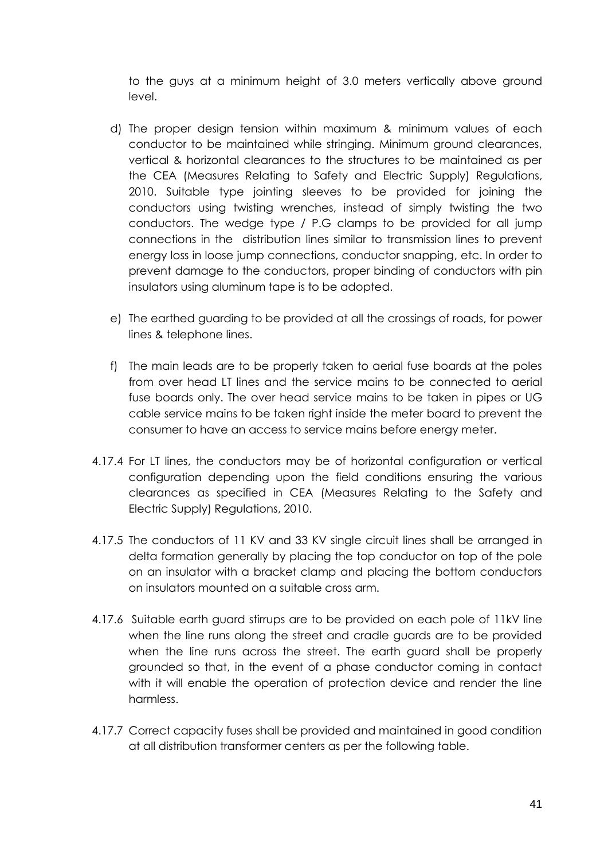to the guys at a minimum height of 3.0 meters vertically above ground level.

- d) The proper design tension within maximum & minimum values of each conductor to be maintained while stringing. Minimum ground clearances, vertical & horizontal clearances to the structures to be maintained as per the CEA (Measures Relating to Safety and Electric Supply) Regulations, 2010. Suitable type jointing sleeves to be provided for joining the conductors using twisting wrenches, instead of simply twisting the two conductors. The wedge type / P.G clamps to be provided for all jump connections in the distribution lines similar to transmission lines to prevent energy loss in loose jump connections, conductor snapping, etc. In order to prevent damage to the conductors, proper binding of conductors with pin insulators using aluminum tape is to be adopted.
- e) The earthed guarding to be provided at all the crossings of roads, for power lines & telephone lines.
- f) The main leads are to be properly taken to aerial fuse boards at the poles from over head LT lines and the service mains to be connected to aerial fuse boards only. The over head service mains to be taken in pipes or UG cable service mains to be taken right inside the meter board to prevent the consumer to have an access to service mains before energy meter.
- 4.17.4 For LT lines, the conductors may be of horizontal configuration or vertical configuration depending upon the field conditions ensuring the various clearances as specified in CEA (Measures Relating to the Safety and Electric Supply) Regulations, 2010.
- 4.17.5 The conductors of 11 KV and 33 KV single circuit lines shall be arranged in delta formation generally by placing the top conductor on top of the pole on an insulator with a bracket clamp and placing the bottom conductors on insulators mounted on a suitable cross arm.
- 4.17.6 Suitable earth guard stirrups are to be provided on each pole of 11kV line when the line runs along the street and cradle guards are to be provided when the line runs across the street. The earth guard shall be properly grounded so that, in the event of a phase conductor coming in contact with it will enable the operation of protection device and render the line harmless.
- 4.17.7 Correct capacity fuses shall be provided and maintained in good condition at all distribution transformer centers as per the following table.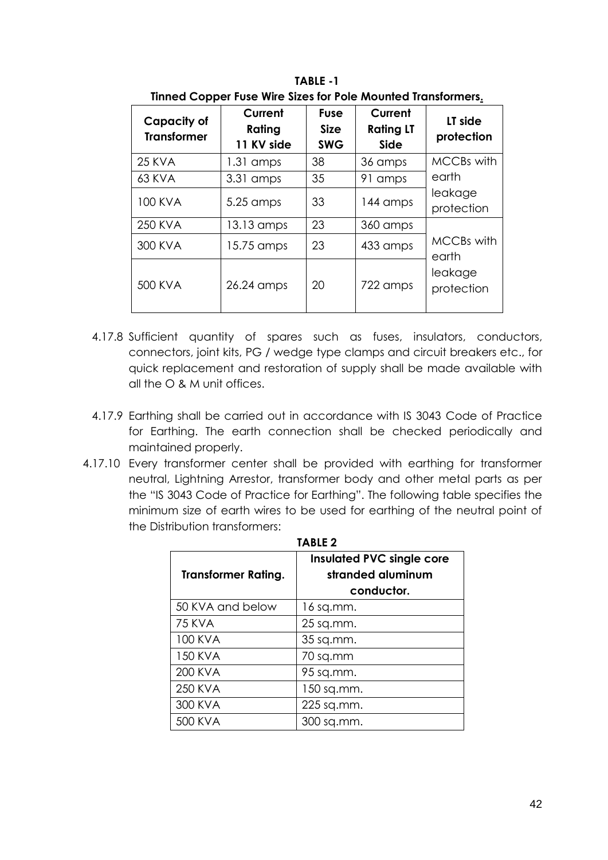| <b>Capacity of</b><br><b>Transformer</b> | Current<br>Rating<br>11 KV side | <b>Fuse</b><br><b>Size</b><br><b>SWG</b> | Current<br><b>Rating LT</b><br><b>Side</b> | LT side<br>protection                               |  |
|------------------------------------------|---------------------------------|------------------------------------------|--------------------------------------------|-----------------------------------------------------|--|
| <b>25 KVA</b>                            | $1.31$ amps                     | 38                                       | 36 amps                                    | <b>MCCBs with</b>                                   |  |
| 63 KVA                                   | 3.31 amps                       | 35                                       | 91 amps                                    | earth                                               |  |
| <b>100 KVA</b>                           | 5.25 amps                       | 33                                       | 144 amps                                   | leakage<br>protection                               |  |
| 250 KVA                                  | 13.13 amps                      | 23                                       | 360 amps                                   |                                                     |  |
| 300 KVA                                  | 15.75 amps                      | 23                                       | 433 amps                                   | <b>MCCBs with</b><br>earth<br>leakage<br>protection |  |
| 500 KVA                                  | 26.24 amps                      | 20                                       | 722 amps                                   |                                                     |  |

**TABLE -1 Tinned Copper Fuse Wire Sizes for Pole Mounted Transformers.**

- 4.17.8 Sufficient quantity of spares such as fuses, insulators, conductors, connectors, joint kits, PG / wedge type clamps and circuit breakers etc., for quick replacement and restoration of supply shall be made available with all the O & M unit offices.
- 4.17.9 Earthing shall be carried out in accordance with IS 3043 Code of Practice for Earthing. The earth connection shall be checked periodically and maintained properly.
- 4.17.10 Every transformer center shall be provided with earthing for transformer neutral, Lightning Arrestor, transformer body and other metal parts as per the "IS 3043 Code of Practice for Earthing". The following table specifies the minimum size of earth wires to be used for earthing of the neutral point of the Distribution transformers:

| <b>Transformer Rating.</b> | <b>Insulated PVC single core</b><br>stranded aluminum<br>conductor. |  |  |
|----------------------------|---------------------------------------------------------------------|--|--|
|                            |                                                                     |  |  |
| 50 KVA and below           | 16 sq.mm.                                                           |  |  |
| <b>75 KVA</b>              | 25 sq.mm.                                                           |  |  |
| 100 KVA                    | 35 sq.mm.                                                           |  |  |
| 150 KVA                    | 70 sq.mm                                                            |  |  |
| 200 KVA                    | 95 sq.mm.                                                           |  |  |
| 250 KVA                    | 150 sq.mm.                                                          |  |  |
| 300 KVA                    | 225 sq.mm.                                                          |  |  |
| 500 KVA                    | 300 sq.mm.                                                          |  |  |

**TABLE 2**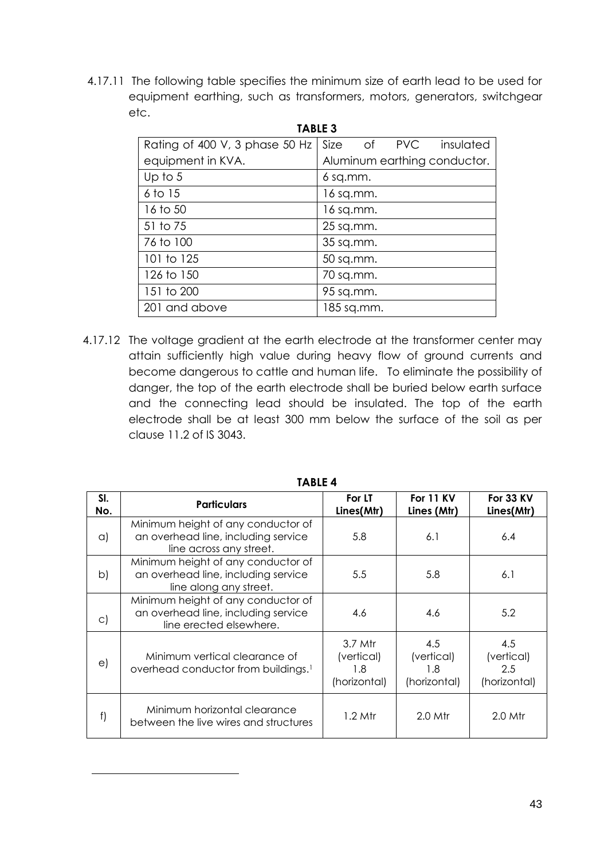4.17.11 The following table specifies the minimum size of earth lead to be used for equipment earthing, such as transformers, motors, generators, switchgear etc.

| <b>TABLE 3</b>                 |                              |  |  |  |
|--------------------------------|------------------------------|--|--|--|
| Rating of 400 V, 3 phase 50 Hz | Size of PVC insulated        |  |  |  |
| equipment in KVA.              | Aluminum earthing conductor. |  |  |  |
| Up to $5$                      | 6 sq.mm.                     |  |  |  |
| 6 to 15                        | 16 sq.mm.                    |  |  |  |
| 16 to 50                       | 16 sq.mm.                    |  |  |  |
| 51 to 75                       | 25 sq.mm.                    |  |  |  |
| 76 to 100                      | 35 sq.mm.                    |  |  |  |
| 101 to 125                     | 50 sq.mm.                    |  |  |  |
| 126 to 150                     | 70 sq.mm.                    |  |  |  |
| 151 to 200                     | 95 sq.mm.                    |  |  |  |
| 201 and above                  | 185 sq.mm.                   |  |  |  |

4.17.12 The voltage gradient at the earth electrode at the transformer center may attain sufficiently high value during heavy flow of ground currents and become dangerous to cattle and human life. To eliminate the possibility of danger, the top of the earth electrode shall be buried below earth surface and the connecting lead should be insulated. The top of the earth electrode shall be at least 300 mm below the surface of the soil as per clause 11.2 of IS 3043.

| IABLE 4    |                                                                                                      |                                              |                                          |                                          |  |
|------------|------------------------------------------------------------------------------------------------------|----------------------------------------------|------------------------------------------|------------------------------------------|--|
| SI.<br>No. | <b>Particulars</b>                                                                                   | For LT<br>Lines(Mtr)                         | For 11 KV<br>Lines (Mtr)                 | <b>For 33 KV</b><br>Lines(Mtr)           |  |
| $\alpha$   | Minimum height of any conductor of<br>an overhead line, including service<br>line across any street. | 5.8                                          | 6.1                                      | 6.4                                      |  |
| b)         | Minimum height of any conductor of<br>an overhead line, including service<br>line along any street.  | 5.5                                          | 5.8                                      | 6.1                                      |  |
| $\circ)$   | Minimum height of any conductor of<br>an overhead line, including service<br>line erected elsewhere. | 4.6                                          | 4.6                                      | 5.2                                      |  |
| $\Theta$   | Minimum vertical clearance of<br>overhead conductor from buildings. <sup>1</sup>                     | 3.7 Mtr<br>(vertical)<br>1.8<br>(horizontal) | 4.5<br>(vertical)<br>1.8<br>(horizontal) | 4.5<br>(vertical)<br>2.5<br>(horizontal) |  |
| f)         | Minimum horizontal clearance<br>between the live wires and structures                                | $1.2$ Mtr                                    | $2.0$ Mtr                                | $2.0$ Mtr                                |  |

-

**TABLE 4**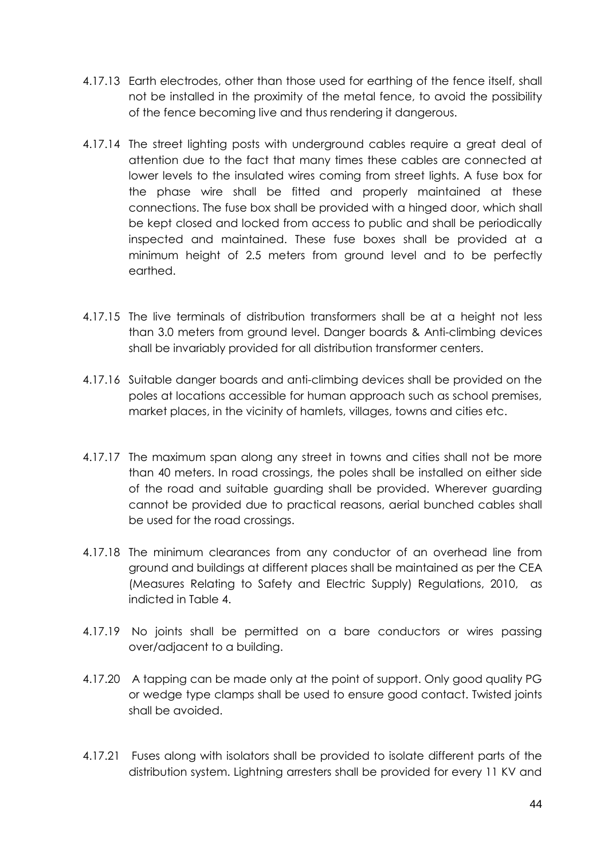- 4.17.13 Earth electrodes, other than those used for earthing of the fence itself, shall not be installed in the proximity of the metal fence, to avoid the possibility of the fence becoming live and thus rendering it dangerous.
- 4.17.14 The street lighting posts with underground cables require a great deal of attention due to the fact that many times these cables are connected at lower levels to the insulated wires coming from street lights. A fuse box for the phase wire shall be fitted and properly maintained at these connections. The fuse box shall be provided with a hinged door, which shall be kept closed and locked from access to public and shall be periodically inspected and maintained. These fuse boxes shall be provided at a minimum height of 2.5 meters from ground level and to be perfectly earthed.
- 4.17.15 The live terminals of distribution transformers shall be at a height not less than 3.0 meters from ground level. Danger boards & Anti-climbing devices shall be invariably provided for all distribution transformer centers.
- 4.17.16 Suitable danger boards and anti-climbing devices shall be provided on the poles at locations accessible for human approach such as school premises, market places, in the vicinity of hamlets, villages, towns and cities etc.
- 4.17.17 The maximum span along any street in towns and cities shall not be more than 40 meters. In road crossings, the poles shall be installed on either side of the road and suitable guarding shall be provided. Wherever guarding cannot be provided due to practical reasons, aerial bunched cables shall be used for the road crossings.
- 4.17.18 The minimum clearances from any conductor of an overhead line from ground and buildings at different places shall be maintained as per the CEA (Measures Relating to Safety and Electric Supply) Regulations, 2010, as indicted in Table 4.
- 4.17.19 No joints shall be permitted on a bare conductors or wires passing over/adjacent to a building.
- 4.17.20 A tapping can be made only at the point of support. Only good quality PG or wedge type clamps shall be used to ensure good contact. Twisted joints shall be avoided.
- 4.17.21 Fuses along with isolators shall be provided to isolate different parts of the distribution system. Lightning arresters shall be provided for every 11 KV and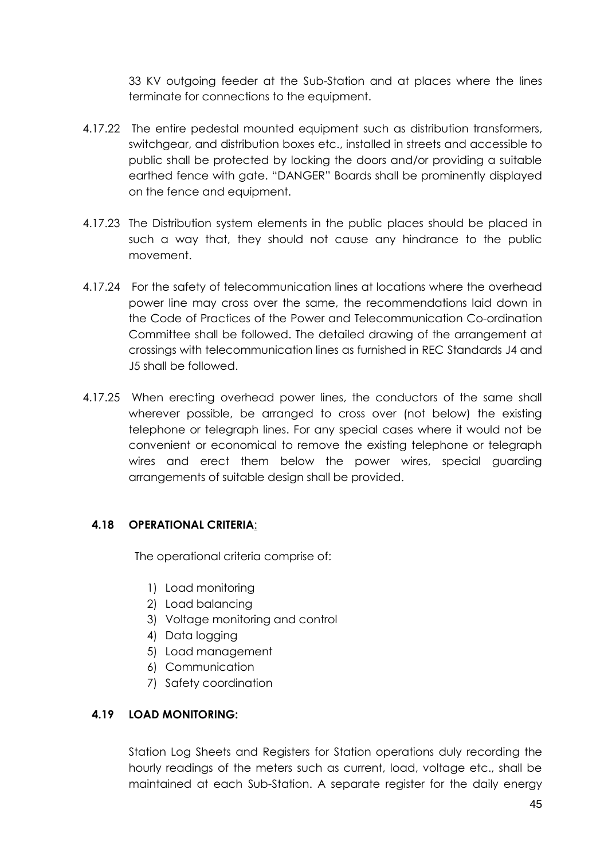33 KV outgoing feeder at the Sub-Station and at places where the lines terminate for connections to the equipment.

- 4.17.22 The entire pedestal mounted equipment such as distribution transformers, switchgear, and distribution boxes etc., installed in streets and accessible to public shall be protected by locking the doors and/or providing a suitable earthed fence with gate. "DANGER" Boards shall be prominently displayed on the fence and equipment.
- 4.17.23 The Distribution system elements in the public places should be placed in such a way that, they should not cause any hindrance to the public movement.
- 4.17.24 For the safety of telecommunication lines at locations where the overhead power line may cross over the same, the recommendations laid down in the Code of Practices of the Power and Telecommunication Co-ordination Committee shall be followed. The detailed drawing of the arrangement at crossings with telecommunication lines as furnished in REC Standards J4 and J5 shall be followed.
- 4.17.25 When erecting overhead power lines, the conductors of the same shall wherever possible, be arranged to cross over (not below) the existing telephone or telegraph lines. For any special cases where it would not be convenient or economical to remove the existing telephone or telegraph wires and erect them below the power wires, special guarding arrangements of suitable design shall be provided.

### **4.18 OPERATIONAL CRITERIA**:

The operational criteria comprise of:

- 1) Load monitoring
- 2) Load balancing
- 3) Voltage monitoring and control
- 4) Data logging
- 5) Load management
- 6) Communication
- 7) Safety coordination

# **4.19 LOAD MONITORING:**

Station Log Sheets and Registers for Station operations duly recording the hourly readings of the meters such as current, load, voltage etc., shall be maintained at each Sub-Station. A separate register for the daily energy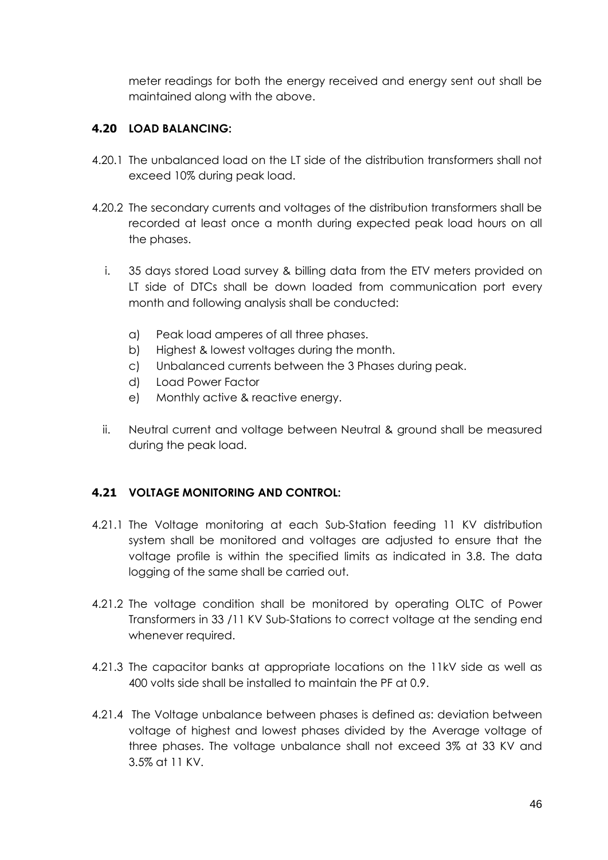meter readings for both the energy received and energy sent out shall be maintained along with the above.

# **4.20 LOAD BALANCING:**

- 4.20.1 The unbalanced load on the LT side of the distribution transformers shall not exceed 10% during peak load.
- 4.20.2 The secondary currents and voltages of the distribution transformers shall be recorded at least once a month during expected peak load hours on all the phases.
	- i. 35 days stored Load survey & billing data from the ETV meters provided on LT side of DTCs shall be down loaded from communication port every month and following analysis shall be conducted:
		- a) Peak load amperes of all three phases.
		- b) Highest & lowest voltages during the month.
		- c) Unbalanced currents between the 3 Phases during peak.
		- d) Load Power Factor
		- e) Monthly active & reactive energy.
	- ii. Neutral current and voltage between Neutral & ground shall be measured during the peak load.

# **4.21 VOLTAGE MONITORING AND CONTROL:**

- 4.21.1 The Voltage monitoring at each Sub-Station feeding 11 KV distribution system shall be monitored and voltages are adjusted to ensure that the voltage profile is within the specified limits as indicated in 3.8. The data logging of the same shall be carried out.
- 4.21.2 The voltage condition shall be monitored by operating OLTC of Power Transformers in 33 /11 KV Sub-Stations to correct voltage at the sending end whenever required.
- 4.21.3 The capacitor banks at appropriate locations on the 11kV side as well as 400 volts side shall be installed to maintain the PF at 0.9.
- 4.21.4 The Voltage unbalance between phases is defined as: deviation between voltage of highest and lowest phases divided by the Average voltage of three phases. The voltage unbalance shall not exceed 3% at 33 KV and 3.5% at 11 KV.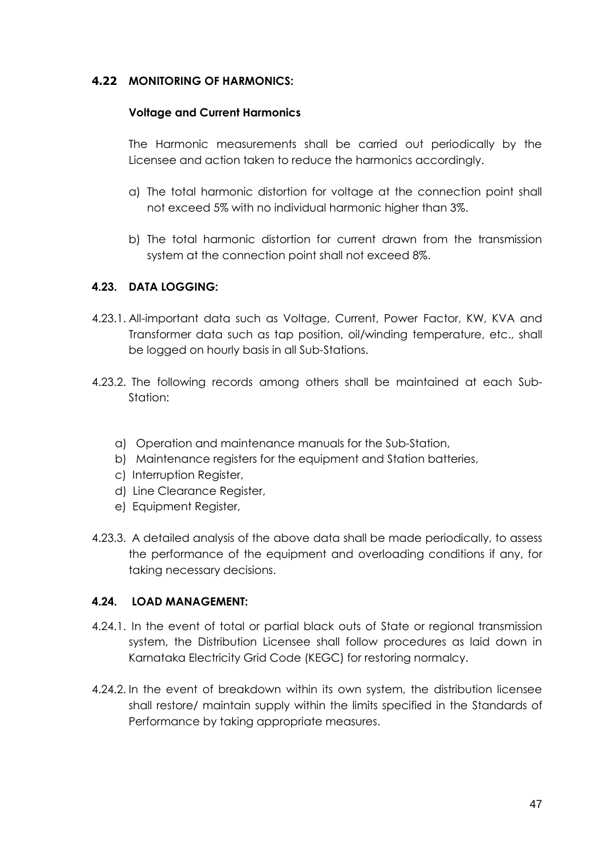## **4.22 MONITORING OF HARMONICS:**

### **Voltage and Current Harmonics**

The Harmonic measurements shall be carried out periodically by the Licensee and action taken to reduce the harmonics accordingly.

- a) The total harmonic distortion for voltage at the connection point shall not exceed 5% with no individual harmonic higher than 3%.
- b) The total harmonic distortion for current drawn from the transmission system at the connection point shall not exceed 8%.

### **4.23. DATA LOGGING:**

- 4.23.1. All-important data such as Voltage, Current, Power Factor, KW, KVA and Transformer data such as tap position, oil/winding temperature, etc., shall be logged on hourly basis in all Sub-Stations.
- 4.23.2. The following records among others shall be maintained at each Sub-Station:
	- a) Operation and maintenance manuals for the Sub-Station,
	- b) Maintenance registers for the equipment and Station batteries,
	- c) Interruption Register,
	- d) Line Clearance Register,
	- e) Equipment Register,
- 4.23.3. A detailed analysis of the above data shall be made periodically, to assess the performance of the equipment and overloading conditions if any, for taking necessary decisions.

### **4.24. LOAD MANAGEMENT:**

- 4.24.1. In the event of total or partial black outs of State or regional transmission system, the Distribution Licensee shall follow procedures as laid down in Karnataka Electricity Grid Code (KEGC) for restoring normalcy.
- 4.24.2. In the event of breakdown within its own system, the distribution licensee shall restore/ maintain supply within the limits specified in the Standards of Performance by taking appropriate measures.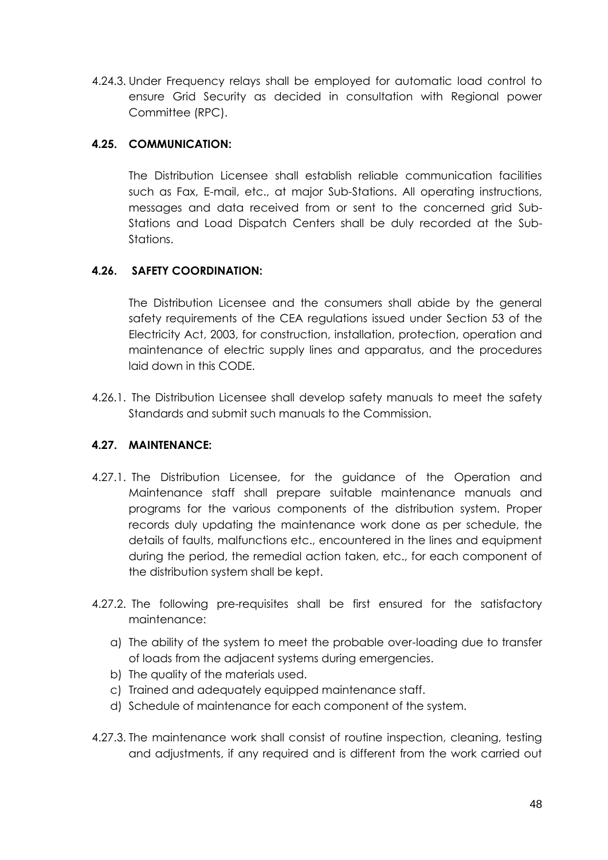4.24.3. Under Frequency relays shall be employed for automatic load control to ensure Grid Security as decided in consultation with Regional power Committee (RPC).

# **4.25. COMMUNICATION:**

The Distribution Licensee shall establish reliable communication facilities such as Fax, E-mail, etc., at major Sub-Stations. All operating instructions, messages and data received from or sent to the concerned grid Sub-Stations and Load Dispatch Centers shall be duly recorded at the Sub-Stations.

# **4.26. SAFETY COORDINATION:**

The Distribution Licensee and the consumers shall abide by the general safety requirements of the CEA regulations issued under Section 53 of the Electricity Act, 2003, for construction, installation, protection, operation and maintenance of electric supply lines and apparatus, and the procedures laid down in this CODE.

4.26.1. The Distribution Licensee shall develop safety manuals to meet the safety Standards and submit such manuals to the Commission.

# **4.27. MAINTENANCE:**

- 4.27.1. The Distribution Licensee, for the guidance of the Operation and Maintenance staff shall prepare suitable maintenance manuals and programs for the various components of the distribution system. Proper records duly updating the maintenance work done as per schedule, the details of faults, malfunctions etc., encountered in the lines and equipment during the period, the remedial action taken, etc., for each component of the distribution system shall be kept.
- 4.27.2. The following pre-requisites shall be first ensured for the satisfactory maintenance:
	- a) The ability of the system to meet the probable over-loading due to transfer of loads from the adjacent systems during emergencies.
	- b) The quality of the materials used.
	- c) Trained and adequately equipped maintenance staff.
	- d) Schedule of maintenance for each component of the system.
- 4.27.3. The maintenance work shall consist of routine inspection, cleaning, testing and adjustments, if any required and is different from the work carried out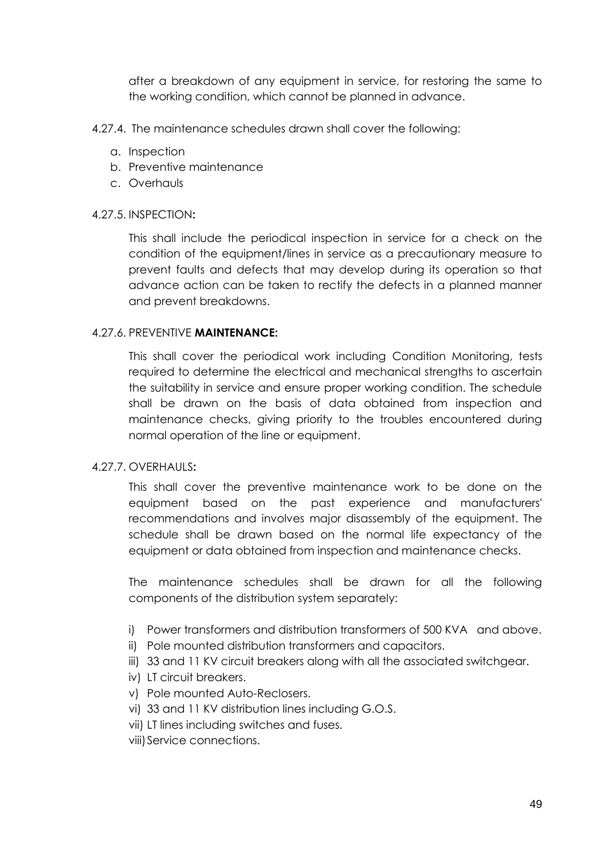after a breakdown of any equipment in service, for restoring the same to the working condition, which cannot be planned in advance.

- 4.27.4. The maintenance schedules drawn shall cover the following:
	- a. Inspection
	- b. Preventive maintenance
	- c. Overhauls

#### 4.27.5. INSPECTION**:**

This shall include the periodical inspection in service for a check on the condition of the equipment/lines in service as a precautionary measure to prevent faults and defects that may develop during its operation so that advance action can be taken to rectify the defects in a planned manner and prevent breakdowns.

#### 4.27.6. PREVENTIVE **MAINTENANCE:**

This shall cover the periodical work including Condition Monitoring, tests required to determine the electrical and mechanical strengths to ascertain the suitability in service and ensure proper working condition. The schedule shall be drawn on the basis of data obtained from inspection and maintenance checks, giving priority to the troubles encountered during normal operation of the line or equipment.

### 4.27.7. OVERHAULS**:**

This shall cover the preventive maintenance work to be done on the equipment based on the past experience and manufacturers' recommendations and involves major disassembly of the equipment. The schedule shall be drawn based on the normal life expectancy of the equipment or data obtained from inspection and maintenance checks.

The maintenance schedules shall be drawn for all the following components of the distribution system separately:

- i) Power transformers and distribution transformers of 500 KVA and above.
- ii) Pole mounted distribution transformers and capacitors.
- iii) 33 and 11 KV circuit breakers along with all the associated switchgear.
- iv) LT circuit breakers.
- v) Pole mounted Auto-Reclosers.
- vi) 33 and 11 KV distribution lines including G.O.S.
- vii) LT lines including switches and fuses.
- viii)Service connections.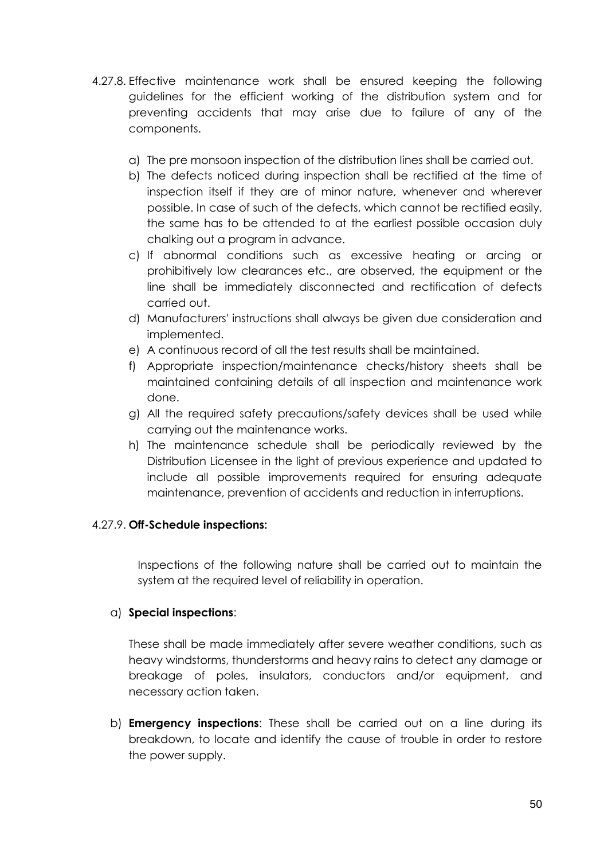- 4.27.8. Effective maintenance work shall be ensured keeping the following guidelines for the efficient working of the distribution system and for preventing accidents that may arise due to failure of any of the components.
	- a) The pre monsoon inspection of the distribution lines shall be carried out.
	- b) The defects noticed during inspection shall be rectified at the time of inspection itself if they are of minor nature, whenever and wherever possible. In case of such of the defects, which cannot be rectified easily, the same has to be attended to at the earliest possible occasion duly chalking out a program in advance.
	- c) If abnormal conditions such as excessive heating or arcing or prohibitively low clearances etc., are observed, the equipment or the line shall be immediately disconnected and rectification of defects carried out.
	- d) Manufacturers' instructions shall always be given due consideration and implemented.
	- e) A continuous record of all the test results shall be maintained.
	- f) Appropriate inspection/maintenance checks/history sheets shall be maintained containing details of all inspection and maintenance work done.
	- g) All the required safety precautions/safety devices shall be used while carrying out the maintenance works.
	- h) The maintenance schedule shall be periodically reviewed by the Distribution Licensee in the light of previous experience and updated to include all possible improvements required for ensuring adequate maintenance, prevention of accidents and reduction in interruptions.

### 4.27.9. **Off-Schedule inspections:**

Inspections of the following nature shall be carried out to maintain the system at the required level of reliability in operation.

### a) **Special inspections**:

 These shall be made immediately after severe weather conditions, such as heavy windstorms, thunderstorms and heavy rains to detect any damage or breakage of poles, insulators, conductors and/or equipment, and necessary action taken.

b) **Emergency inspections**: These shall be carried out on a line during its breakdown, to locate and identify the cause of trouble in order to restore the power supply.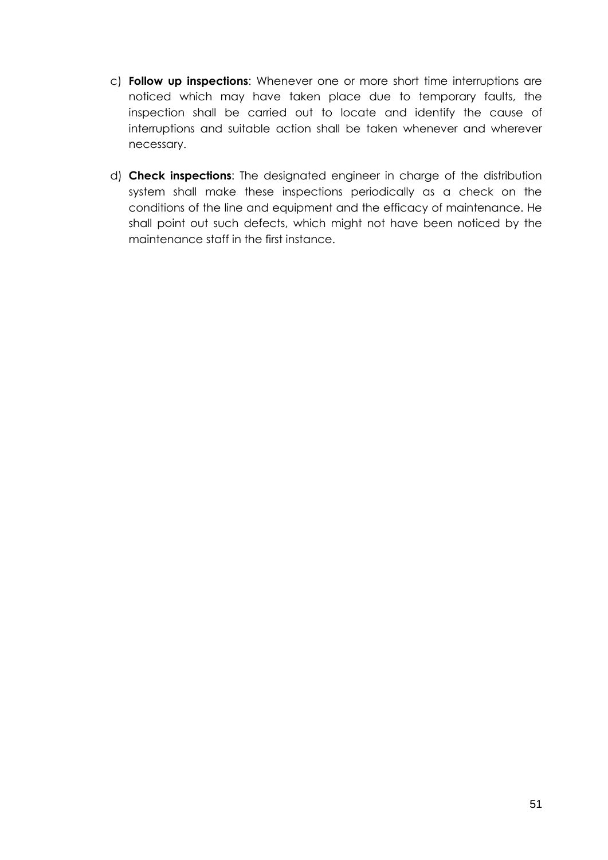- c) **Follow up inspections**: Whenever one or more short time interruptions are noticed which may have taken place due to temporary faults, the inspection shall be carried out to locate and identify the cause of interruptions and suitable action shall be taken whenever and wherever necessary.
- d) **Check inspections**: The designated engineer in charge of the distribution system shall make these inspections periodically as a check on the conditions of the line and equipment and the efficacy of maintenance. He shall point out such defects, which might not have been noticed by the maintenance staff in the first instance.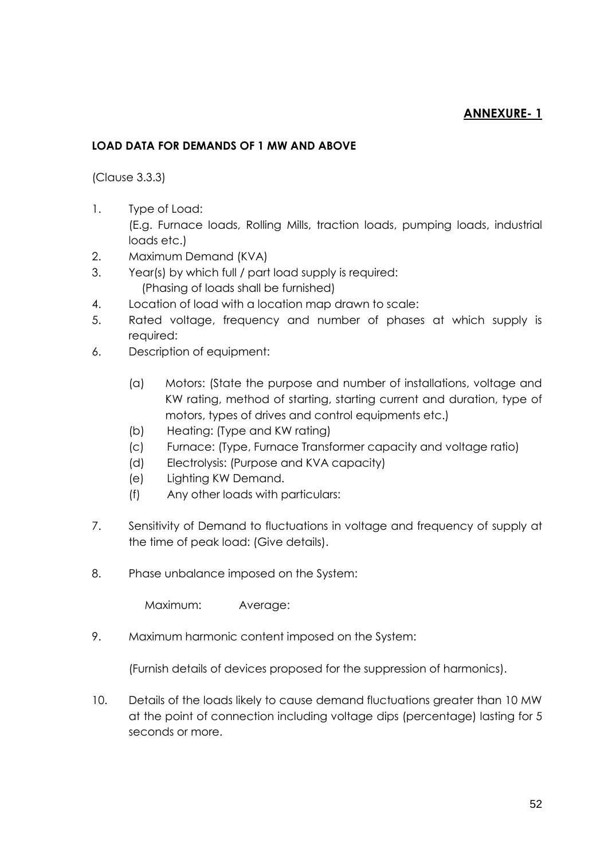# **ANNEXURE- 1**

## **LOAD DATA FOR DEMANDS OF 1 MW AND ABOVE**

(Clause 3.3.3)

- 1. Type of Load: (E.g. Furnace loads, Rolling Mills, traction loads, pumping loads, industrial loads etc.)
- 2. Maximum Demand (KVA)
- 3. Year(s) by which full / part load supply is required: (Phasing of loads shall be furnished)
- 4. Location of load with a location map drawn to scale:
- 5. Rated voltage, frequency and number of phases at which supply is required:
- 6. Description of equipment:
	- (a) Motors: (State the purpose and number of installations, voltage and KW rating, method of starting, starting current and duration, type of motors, types of drives and control equipments etc.)
	- (b) Heating: (Type and KW rating)
	- (c) Furnace: (Type, Furnace Transformer capacity and voltage ratio)
	- (d) Electrolysis: (Purpose and KVA capacity)
	- (e) Lighting KW Demand.
	- (f) Any other loads with particulars:
- 7. Sensitivity of Demand to fluctuations in voltage and frequency of supply at the time of peak load: (Give details).
- 8. Phase unbalance imposed on the System:

Maximum: Average:

9. Maximum harmonic content imposed on the System:

(Furnish details of devices proposed for the suppression of harmonics).

10. Details of the loads likely to cause demand fluctuations greater than 10 MW at the point of connection including voltage dips (percentage) lasting for 5 seconds or more.